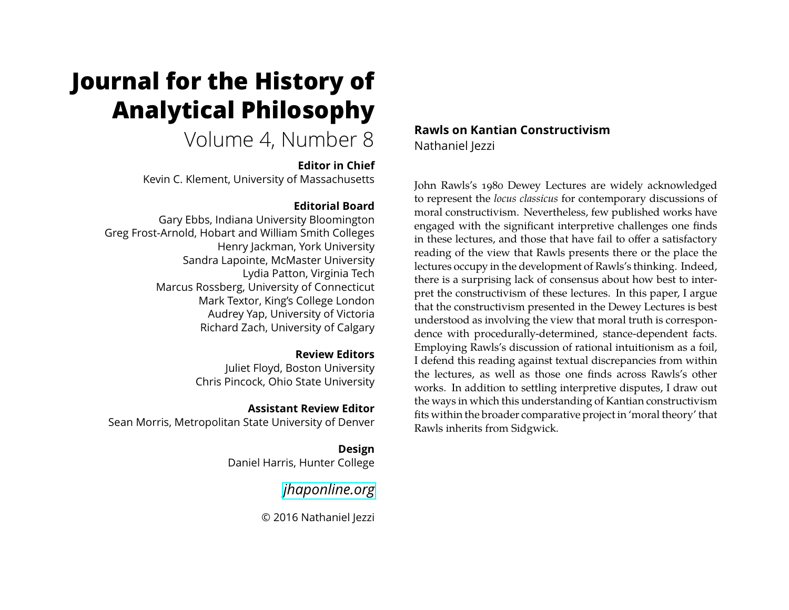# **Journal for the History of Analytical Philosophy**

Volume 4, Number 8

#### **Editor in Chief**

Kevin C. Klement, University of Massachusetts

## **Editorial Board**

Gary Ebbs, Indiana University Bloomington Greg Frost-Arnold, Hobart and William Smith Colleges Henry Jackman, York University Sandra Lapointe, McMaster University Lydia Patton, Virginia Tech Marcus Rossberg, University of Connecticut Mark Textor, King's College London Audrey Yap, University of Victoria Richard Zach, University of Calgary

#### **Review Editors**

Juliet Floyd, Boston University Chris Pincock, Ohio State University

#### **Assistant Review Editor**

Sean Morris, Metropolitan State University of Denver

**Design** Daniel Harris, Hunter College

*[jhaponline.org](https://jhaponline.org)*

© 2016 Nathaniel Jezzi

## **Rawls on Kantian Constructivism** Nathaniel Jezzi

John Rawls's 1980 Dewey Lectures are widely acknowledged to represent the *locus classicus* for contemporary discussions of moral constructivism. Nevertheless, few published works have engaged with the significant interpretive challenges one finds in these lectures, and those that have fail to offer a satisfactory reading of the view that Rawls presents there or the place the lectures occupy in the development of Rawls's thinking. Indeed, there is a surprising lack of consensus about how best to interpret the constructivism of these lectures. In this paper, I argue that the constructivism presented in the Dewey Lectures is best understood as involving the view that moral truth is correspondence with procedurally-determined, stance-dependent facts. Employing Rawls's discussion of rational intuitionism as a foil, I defend this reading against textual discrepancies from within the lectures, as well as those one finds across Rawls's other works. In addition to settling interpretive disputes, I draw out the ways in which this understanding of Kantian constructivism fits within the broader comparative project in 'moral theory' that Rawls inherits from Sidgwick.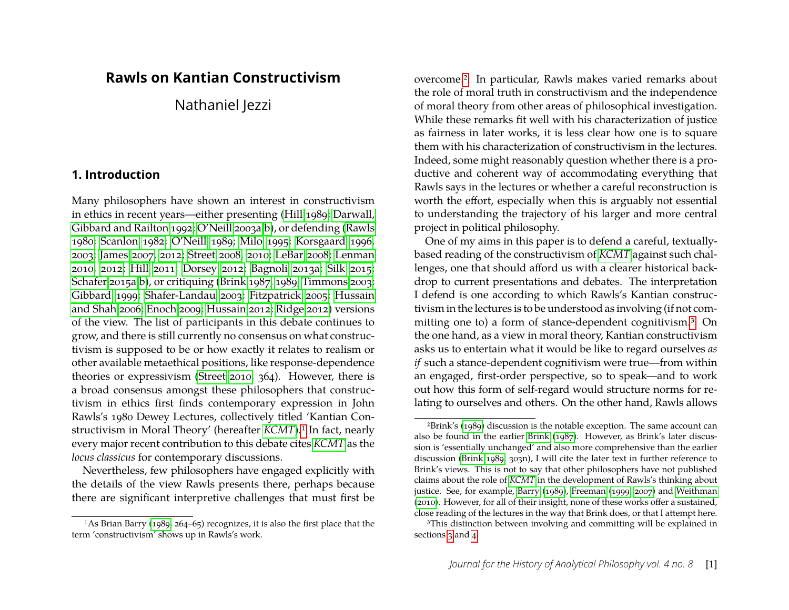# **Rawls on Kantian Constructivism**

Nathaniel Jezzi

#### **1. Introduction**

Many philosophers have shown an interest in constructivism in ethics in recent years—either presenting [\(Hill 1989;](#page-24-0) [Darwall,](#page-23-0) [Gibbard and Railton 1992;](#page-23-0) [O'Neill 2003a,](#page-25-0)[b\)](#page-25-1), or defending [\(Rawls](#page-25-2) [1980;](#page-25-2) [Scanlon 1982;](#page-25-3) [O'Neill 1989;](#page-24-1) [Milo 1995;](#page-24-2) [Korsgaard 1996,](#page-24-3) [2003;](#page-24-4) [James 2007,](#page-24-5) [2012;](#page-24-6) [Street 2008,](#page-25-4) [2010;](#page-25-5) [LeBar 2008;](#page-24-7) [Lenman](#page-24-8) [2010,](#page-24-8) [2012;](#page-24-9) [Hill 2011;](#page-24-10) [Dorsey 2012;](#page-23-1) [Bagnoli 2013a;](#page-23-2) [Silk 2015;](#page-25-6) [Schafer 2015a,](#page-25-7)[b\)](#page-25-8), or critiquing [\(Brink 1987,](#page-23-3) [1989;](#page-23-4) [Timmons 2003;](#page-25-9) [Gibbard 1999;](#page-24-11) [Shafer-Landau 2003;](#page-25-10) [Fitzpatrick 2005;](#page-24-12) [Hussain](#page-24-13) [and Shah 2006;](#page-24-13) [Enoch 2009;](#page-23-5) [Hussain 2012;](#page-24-14) [Ridge 2012\)](#page-25-11) versions of the view. The list of participants in this debate continues to grow, and there is still currently no consensus on what constructivism is supposed to be or how exactly it relates to realism or other available metaethical positions, like response-dependence theories or expressivism [\(Street 2010,](#page-25-5) 364). However, there is a broad consensus amongst these philosophers that constructivism in ethics first finds contemporary expression in John Rawls's 1980 Dewey Lectures, collectively titled 'Kantian Constructivism in Moral Theory' (hereafter *[KCMT](#page-25-2)*).<sup>1</sup> In fact, nearly every major recent contribution to this debate cites *[KCMT](#page-25-2)* as the *locus classicus* for contemporary discussions.

Nevertheless, few philosophers have engaged explicitly with the details of the view Rawls presents there, perhaps because there are significant interpretive challenges that must first be overcome[.2](#page-1-1) In particular, Rawls makes varied remarks about the role of moral truth in constructivism and the independence of moral theory from other areas of philosophical investigation. While these remarks fit well with his characterization of justice as fairness in later works, it is less clear how one is to square them with his characterization of constructivism in the lectures. Indeed, some might reasonably question whether there is a productive and coherent way of accommodating everything that Rawls says in the lectures or whether a careful reconstruction is worth the effort, especially when this is arguably not essential to understanding the trajectory of his larger and more central project in political philosophy.

One of my aims in this paper is to defend a careful, textuallybased reading of the constructivism of *[KCMT](#page-25-2)* against such challenges, one that should afford us with a clearer historical backdrop to current presentations and debates. The interpretation I defend is one according to which Rawls's Kantian constructivism in the lectures is to be understood as involving (if not committing one to) a form of stance-dependent cognitivism[.3](#page-1-2) On the one hand, as a view in moral theory, Kantian constructivism asks us to entertain what it would be like to regard ourselves *as if* such a stance-dependent cognitivism were true—from within an engaged, first-order perspective, so to speak—and to work out how this form of self-regard would structure norms for relating to ourselves and others. On the other hand, Rawls allows

<span id="page-1-0"></span><sup>1</sup>As Brian Barry [\(1989,](#page-23-6) 264–65) recognizes, it is also the first place that the term 'constructivism' shows up in Rawls's work.

<span id="page-1-1"></span><sup>2</sup>Brink's [\(1989\)](#page-23-4) discussion is the notable exception. The same account can also be found in the earlier [Brink](#page-23-3) [\(1987\)](#page-23-3). However, as Brink's later discussion is 'essentially unchanged' and also more comprehensive than the earlier discussion [\(Brink 1989,](#page-23-4) 303n), I will cite the later text in further reference to Brink's views. This is not to say that other philosophers have not published claims about the role of *[KCMT](#page-25-2)* in the development of Rawls's thinking about justice. See, for example, [Barry](#page-23-6) [\(1989\)](#page-23-6), [Freeman](#page-24-15) [\(1999,](#page-24-15) [2007\)](#page-24-16) and [Weithman](#page-25-12) [\(2010\)](#page-25-12). However, for all of their insight, none of these works offer a sustained, close reading of the lectures in the way that Brink does, or that I attempt here.

<span id="page-1-2"></span><sup>&</sup>lt;sup>3</sup>This distinction between involving and committing will be explained in sections [3](#page-5-0) and [4.](#page-9-0)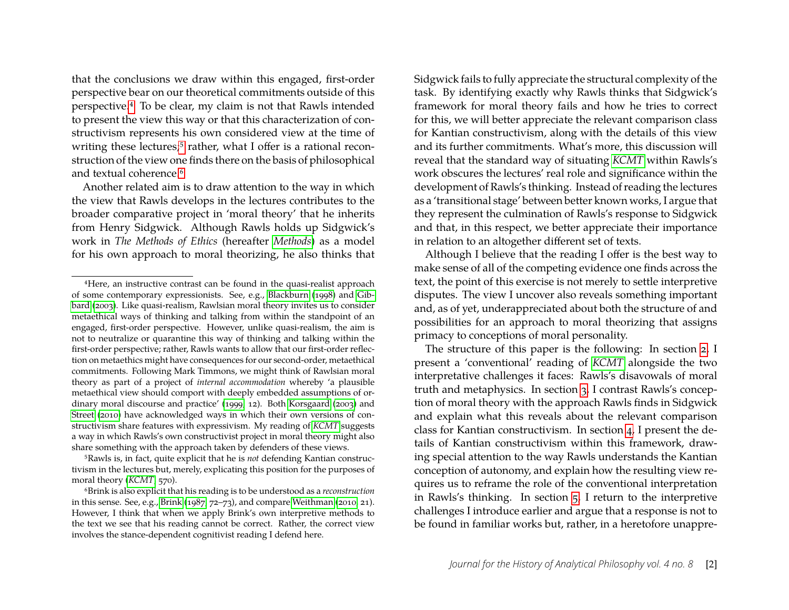that the conclusions we draw within this engaged, first-order perspective bear on our theoretical commitments outside of this perspective[.4](#page-2-0) To be clear, my claim is not that Rawls intended to present the view this way or that this characterization of constructivism represents his own considered view at the time of writing these lectures;<sup>5</sup> rather, what I offer is a rational reconstruction of the view one finds there on the basis of philosophical and textual coherence.<sup>6</sup>

Another related aim is to draw attention to the way in which the view that Rawls develops in the lectures contributes to the broader comparative project in 'moral theory' that he inherits from Henry Sidgwick. Although Rawls holds up Sidgwick's work in *The Methods of Ethics* (hereafter *[Methods](#page-25-13)*) as a model for his own approach to moral theorizing, he also thinks that

<span id="page-2-1"></span>5Rawls is, in fact, quite explicit that he is *not* defending Kantian constructivism in the lectures but, merely, explicating this position for the purposes of moral theory (*[KCMT](#page-25-2)*, 570).

Sidgwick fails to fully appreciate the structural complexity of the task. By identifying exactly why Rawls thinks that Sidgwick's framework for moral theory fails and how he tries to correct for this, we will better appreciate the relevant comparison class for Kantian constructivism, along with the details of this view and its further commitments. What's more, this discussion will reveal that the standard way of situating *[KCMT](#page-25-2)* within Rawls's work obscures the lectures' real role and significance within the development of Rawls's thinking. Instead of reading the lectures as a 'transitional stage' between better known works, I argue that they represent the culmination of Rawls's response to Sidgwick and that, in this respect, we better appreciate their importance in relation to an altogether different set of texts.

Although I believe that the reading I offer is the best way to make sense of all of the competing evidence one finds across the text, the point of this exercise is not merely to settle interpretive disputes. The view I uncover also reveals something important and, as of yet, underappreciated about both the structure of and possibilities for an approach to moral theorizing that assigns primacy to conceptions of moral personality.

The structure of this paper is the following: In section [2,](#page-3-0) I present a 'conventional' reading of *[KCMT](#page-25-2)* alongside the two interpretative challenges it faces: Rawls's disavowals of moral truth and metaphysics. In section [3,](#page-5-0) I contrast Rawls's conception of moral theory with the approach Rawls finds in Sidgwick and explain what this reveals about the relevant comparison class for Kantian constructivism. In section [4,](#page-9-0) I present the details of Kantian constructivism within this framework, drawing special attention to the way Rawls understands the Kantian conception of autonomy, and explain how the resulting view requires us to reframe the role of the conventional interpretation in Rawls's thinking. In section [5,](#page-11-0) I return to the interpretive challenges I introduce earlier and argue that a response is not to be found in familiar works but, rather, in a heretofore unappre-

<span id="page-2-0"></span><sup>4</sup>Here, an instructive contrast can be found in the quasi-realist approach of some contemporary expressionists. See, e.g., [Blackburn](#page-23-7) [\(1998\)](#page-23-7) and [Gib](#page-24-17)[bard](#page-24-17) [\(2003\)](#page-24-17). Like quasi-realism, Rawlsian moral theory invites us to consider metaethical ways of thinking and talking from within the standpoint of an engaged, first-order perspective. However, unlike quasi-realism, the aim is not to neutralize or quarantine this way of thinking and talking within the first-order perspective; rather, Rawls wants to allow that our first-order reflection on metaethics might have consequences for our second-order, metaethical commitments. Following Mark Timmons, we might think of Rawlsian moral theory as part of a project of *internal accommodation* whereby 'a plausible metaethical view should comport with deeply embedded assumptions of ordinary moral discourse and practice' [\(1999,](#page-25-14) 12). Both [Korsgaard](#page-24-4) [\(2003\)](#page-24-4) and [Street](#page-25-5) [\(2010\)](#page-25-5) have acknowledged ways in which their own versions of constructivism share features with expressivism. My reading of *[KCMT](#page-25-2)* suggests a way in which Rawls's own constructivist project in moral theory might also share something with the approach taken by defenders of these views.

<span id="page-2-2"></span><sup>6</sup>Brink is also explicit that his reading is to be understood as a *reconstruction* in this sense. See, e.g., [Brink](#page-23-3) [\(1987,](#page-23-3) 72–73), and compare [Weithman](#page-25-12) [\(2010,](#page-25-12) 21). However, I think that when we apply Brink's own interpretive methods to the text we see that his reading cannot be correct. Rather, the correct view involves the stance-dependent cognitivist reading I defend here.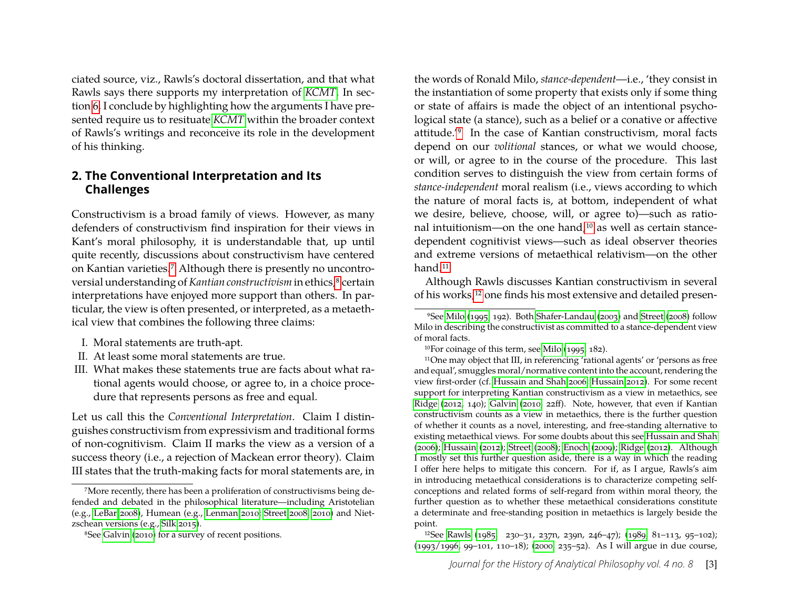ciated source, viz., Rawls's doctoral dissertation, and that what Rawls says there supports my interpretation of *[KCMT](#page-25-2)*. In section [6,](#page-21-0) I conclude by highlighting how the arguments I have presented require us to resituate *[KCMT](#page-25-2)* within the broader context of Rawls's writings and reconceive its role in the development of his thinking.

#### <span id="page-3-0"></span>**2. The Conventional Interpretation and Its Challenges**

Constructivism is a broad family of views. However, as many defenders of constructivism find inspiration for their views in Kant's moral philosophy, it is understandable that, up until quite recently, discussions about constructivism have centered on Kantian varieties[.7](#page-3-1) Although there is presently no uncontroversial understanding of *Kantian constructivism* in ethics,<sup>8</sup> certain interpretations have enjoyed more support than others. In particular, the view is often presented, or interpreted, as a metaethical view that combines the following three claims:

- I. Moral statements are truth-apt.
- II. At least some moral statements are true.
- III. What makes these statements true are facts about what rational agents would choose, or agree to, in a choice procedure that represents persons as free and equal.

Let us call this the *Conventional Interpretation*. Claim I distinguishes constructivism from expressivism and traditional forms of non-cognitivism. Claim II marks the view as a version of a success theory (i.e., a rejection of Mackean error theory). Claim III states that the truth-making facts for moral statements are, in the words of Ronald Milo, *stance-dependent*—i.e., 'they consist in the instantiation of some property that exists only if some thing or state of affairs is made the object of an intentional psychological state (a stance), such as a belief or a conative or affective attitude.['9](#page-3-3) In the case of Kantian constructivism, moral facts depend on our *volitional* stances, or what we would choose, or will, or agree to in the course of the procedure. This last condition serves to distinguish the view from certain forms of *stance-independent* moral realism (i.e., views according to which the nature of moral facts is, at bottom, independent of what we desire, believe, choose, will, or agree to)—such as rational intuitionism—on the one hand[,10](#page-3-4) as well as certain stancedependent cognitivist views—such as ideal observer theories and extreme versions of metaethical relativism—on the other hand.<sup>11</sup>

Although Rawls discusses Kantian constructivism in several of his works[,12](#page-3-6) one finds his most extensive and detailed presen-

<span id="page-3-1"></span><sup>7</sup>More recently, there has been a proliferation of constructivisms being defended and debated in the philosophical literature—including Aristotelian (e.g., [LeBar 2008\)](#page-24-7), Humean (e.g., [Lenman 2010;](#page-24-8) [Street 2008,](#page-25-4) [2010\)](#page-25-5) and Nietzschean versions (e.g., [Silk 2015\)](#page-25-6).

<span id="page-3-2"></span><sup>8</sup>See [Galvin](#page-24-18) [\(2010\)](#page-24-18) for a survey of recent positions.

<span id="page-3-3"></span><sup>9</sup>See [Milo](#page-24-2) [\(1995,](#page-24-2) 192). Both [Shafer-Landau](#page-25-10) [\(2003\)](#page-25-10) and [Street](#page-25-4) [\(2008\)](#page-25-4) follow Milo in describing the constructivist as committed to a stance-dependent view of moral facts.

<span id="page-3-5"></span><span id="page-3-4"></span><sup>10</sup>For coinage of this term, see [Milo](#page-24-2) [\(1995,](#page-24-2) 182).

<sup>11</sup>One may object that III, in referencing 'rational agents' or 'persons as free and equal', smuggles moral/normative content into the account, rendering the view first-order (cf. [Hussain and Shah 2006;](#page-24-13) [Hussain 2012\)](#page-24-14). For some recent support for interpreting Kantian constructivism as a view in metaethics, see [Ridge](#page-25-11) [\(2012,](#page-25-11) 140); [Galvin](#page-24-18) [\(2010,](#page-24-18) 22ff). Note, however, that even if Kantian constructivism counts as a view in metaethics, there is the further question of whether it counts as a novel, interesting, and free-standing alternative to existing metaethical views. For some doubts about this see [Hussain and Shah](#page-24-13) [\(2006\)](#page-24-13); [Hussain](#page-24-14) [\(2012\)](#page-24-14); [Street](#page-25-4) [\(2008\)](#page-25-4); [Enoch](#page-23-5) [\(2009\)](#page-23-5); [Ridge](#page-25-11) [\(2012\)](#page-25-11). Although I mostly set this further question aside, there is a way in which the reading I offer here helps to mitigate this concern. For if, as I argue, Rawls's aim in introducing metaethical considerations is to characterize competing selfconceptions and related forms of self-regard from within moral theory, the further question as to whether these metaethical considerations constitute a determinate and free-standing position in metaethics is largely beside the point.

<span id="page-3-6"></span><sup>12</sup>See [Rawls](#page-25-15) [\(1985,](#page-25-15) 230–31, 237n, 239n, 246–47); [\(1989,](#page-25-16) 81–113, 95–102); [\(1993/1996,](#page-25-17) 99–101, 110–18); [\(2000,](#page-25-18) 235–52). As I will argue in due course,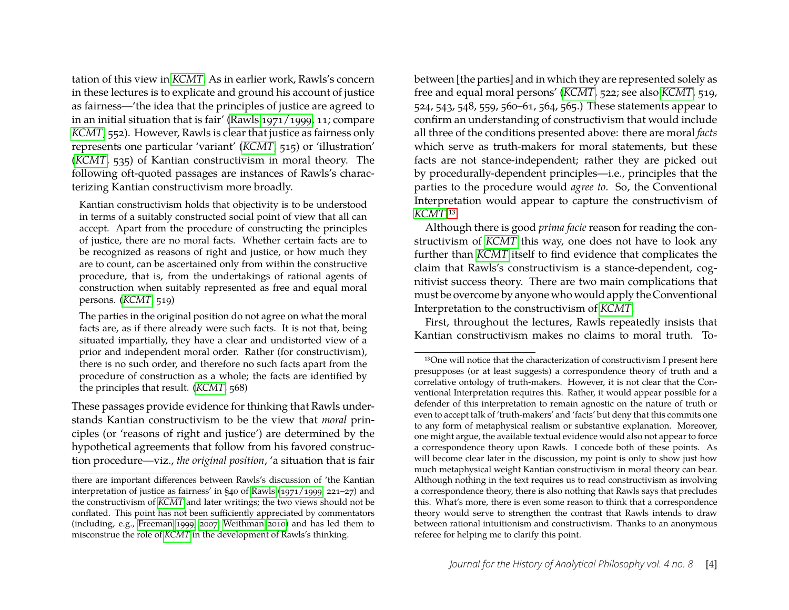tation of this view in *[KCMT](#page-25-2)*. As in earlier work, Rawls's concern in these lectures is to explicate and ground his account of justice as fairness—'the idea that the principles of justice are agreed to in an initial situation that is fair' [\(Rawls 1971/1999,](#page-25-19) 11; compare *[KCMT](#page-25-2)*, 552). However, Rawls is clear that justice as fairness only represents one particular 'variant' (*[KCMT](#page-25-2)*, 515) or 'illustration' (*[KCMT](#page-25-2)*, 535) of Kantian constructivism in moral theory. The following oft-quoted passages are instances of Rawls's characterizing Kantian constructivism more broadly.

Kantian constructivism holds that objectivity is to be understood in terms of a suitably constructed social point of view that all can accept. Apart from the procedure of constructing the principles of justice, there are no moral facts. Whether certain facts are to be recognized as reasons of right and justice, or how much they are to count, can be ascertained only from within the constructive procedure, that is, from the undertakings of rational agents of construction when suitably represented as free and equal moral persons. (*[KCMT](#page-25-2)*, 519)

The parties in the original position do not agree on what the moral facts are, as if there already were such facts. It is not that, being situated impartially, they have a clear and undistorted view of a prior and independent moral order. Rather (for constructivism), there is no such order, and therefore no such facts apart from the procedure of construction as a whole; the facts are identified by the principles that result. (*[KCMT](#page-25-2)*, 568)

These passages provide evidence for thinking that Rawls understands Kantian constructivism to be the view that *moral* principles (or 'reasons of right and justice') are determined by the hypothetical agreements that follow from his favored construction procedure—viz., *the original position*, 'a situation that is fair between [the parties] and in which they are represented solely as free and equal moral persons' (*[KCMT](#page-25-2)*, 522; see also *[KCMT](#page-25-2)*, 519, 524, 543, 548, 559, 560–61, 564, 565.) These statements appear to confirm an understanding of constructivism that would include all three of the conditions presented above: there are moral *facts* which serve as truth-makers for moral statements, but these facts are not stance-independent; rather they are picked out by procedurally-dependent principles—i.e., principles that the parties to the procedure would *agree to*. So, the Conventional Interpretation would appear to capture the constructivism of *[KCMT](#page-25-2)*[.13](#page-4-0)

Although there is good *prima facie* reason for reading the constructivism of *[KCMT](#page-25-2)* this way, one does not have to look any further than *[KCMT](#page-25-2)* itself to find evidence that complicates the claim that Rawls's constructivism is a stance-dependent, cognitivist success theory. There are two main complications that must be overcome by anyone who would apply the Conventional Interpretation to the constructivism of *[KCMT](#page-25-2)*.

First, throughout the lectures, Rawls repeatedly insists that Kantian constructivism makes no claims to moral truth. To-

there are important differences between Rawls's discussion of 'the Kantian interpretation of justice as fairness' in §40 of [Rawls](#page-25-19) [\(1971/1999,](#page-25-19) 221–27) and the constructivism of *[KCMT](#page-25-2)* and later writings; the two views should not be conflated. This point has not been sufficiently appreciated by commentators (including, e.g., [Freeman 1999,](#page-24-15) [2007;](#page-24-16) [Weithman 2010\)](#page-25-12) and has led them to misconstrue the role of *[KCMT](#page-25-2)* in the development of Rawls's thinking.

<span id="page-4-0"></span><sup>13</sup>One will notice that the characterization of constructivism I present here presupposes (or at least suggests) a correspondence theory of truth and a correlative ontology of truth-makers. However, it is not clear that the Conventional Interpretation requires this. Rather, it would appear possible for a defender of this interpretation to remain agnostic on the nature of truth or even to accept talk of 'truth-makers' and 'facts' but deny that this commits one to any form of metaphysical realism or substantive explanation. Moreover, one might argue, the available textual evidence would also not appear to force a correspondence theory upon Rawls. I concede both of these points. As will become clear later in the discussion, my point is only to show just how much metaphysical weight Kantian constructivism in moral theory can bear. Although nothing in the text requires us to read constructivism as involving a correspondence theory, there is also nothing that Rawls says that precludes this. What's more, there is even some reason to think that a correspondence theory would serve to strengthen the contrast that Rawls intends to draw between rational intuitionism and constructivism. Thanks to an anonymous referee for helping me to clarify this point.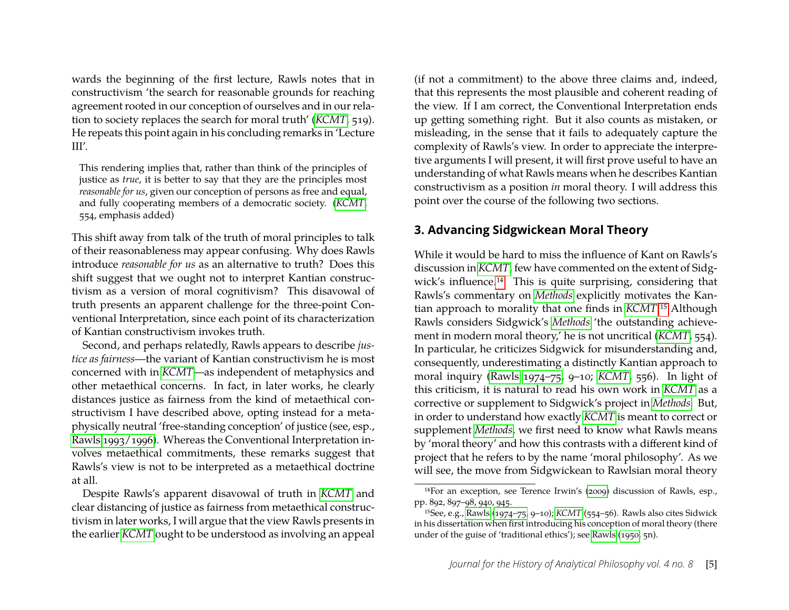wards the beginning of the first lecture, Rawls notes that in constructivism 'the search for reasonable grounds for reaching agreement rooted in our conception of ourselves and in our relation to society replaces the search for moral truth' (*[KCMT](#page-25-2)*, 519). He repeats this point again in his concluding remarks in 'Lecture  $III'$ .

This rendering implies that, rather than think of the principles of justice as *true*, it is better to say that they are the principles most *reasonable for us*, given our conception of persons as free and equal, and fully cooperating members of a democratic society. (*[KCMT](#page-25-2)*, 554, emphasis added)

This shift away from talk of the truth of moral principles to talk of their reasonableness may appear confusing. Why does Rawls introduce *reasonable for us* as an alternative to truth? Does this shift suggest that we ought not to interpret Kantian constructivism as a version of moral cognitivism? This disavowal of truth presents an apparent challenge for the three-point Conventional Interpretation, since each point of its characterization of Kantian constructivism invokes truth.

Second, and perhaps relatedly, Rawls appears to describe *justice as fairness*—the variant of Kantian constructivism he is most concerned with in *[KCMT](#page-25-2)*—as independent of metaphysics and other metaethical concerns. In fact, in later works, he clearly distances justice as fairness from the kind of metaethical constructivism I have described above, opting instead for a metaphysically neutral 'free-standing conception' of justice (see, esp., [Rawls 1993/1996\)](#page-25-17). Whereas the Conventional Interpretation involves metaethical commitments, these remarks suggest that Rawls's view is not to be interpreted as a metaethical doctrine at all.

Despite Rawls's apparent disavowal of truth in *[KCMT](#page-25-2)* and clear distancing of justice as fairness from metaethical constructivism in later works, I will argue that the view Rawls presents in the earlier *[KCMT](#page-25-2)* ought to be understood as involving an appeal (if not a commitment) to the above three claims and, indeed, that this represents the most plausible and coherent reading of the view. If I am correct, the Conventional Interpretation ends up getting something right. But it also counts as mistaken, or misleading, in the sense that it fails to adequately capture the complexity of Rawls's view. In order to appreciate the interpretive arguments I will present, it will first prove useful to have an understanding of what Rawls means when he describes Kantian constructivism as a position *in* moral theory. I will address this point over the course of the following two sections.

### <span id="page-5-0"></span>**3. Advancing Sidgwickean Moral Theory**

While it would be hard to miss the influence of Kant on Rawls's discussion in *[KCMT](#page-25-2)*, few have commented on the extent of Sidgwick's influence[.14](#page-5-1) This is quite surprising, considering that Rawls's commentary on *[Methods](#page-25-13)* explicitly motivates the Kantian approach to morality that one finds in *[KCMT](#page-25-2)*[.15](#page-5-2) Although Rawls considers Sidgwick's *[Methods](#page-25-13)* 'the outstanding achievement in modern moral theory,' he is not uncritical (*[KCMT](#page-25-2)*, 554). In particular, he criticizes Sidgwick for misunderstanding and, consequently, underestimating a distinctly Kantian approach to moral inquiry [\(Rawls 1974–75,](#page-25-20) 9–10; *[KCMT](#page-25-2)*, 556). In light of this criticism, it is natural to read his own work in *[KCMT](#page-25-2)* as a corrective or supplement to Sidgwick's project in *[Methods](#page-25-13)*. But, in order to understand how exactly *[KCMT](#page-25-2)* is meant to correct or supplement *[Methods](#page-25-13)*, we first need to know what Rawls means by 'moral theory' and how this contrasts with a different kind of project that he refers to by the name 'moral philosophy'. As we will see, the move from Sidgwickean to Rawlsian moral theory

<span id="page-5-1"></span><sup>14</sup>For an exception, see Terence Irwin's [\(2009\)](#page-24-19) discussion of Rawls, esp., pp. 892, 897–98, 940, 945.

<span id="page-5-2"></span><sup>15</sup>See, e.g., [Rawls](#page-25-20) [\(1974–75,](#page-25-20) 9–10); *[KCMT](#page-25-2)* (554–56). Rawls also cites Sidwick in his dissertation when first introducing his conception of moral theory (there under of the guise of 'traditional ethics'); see [Rawls](#page-25-21) [\(1950,](#page-25-21) 5n).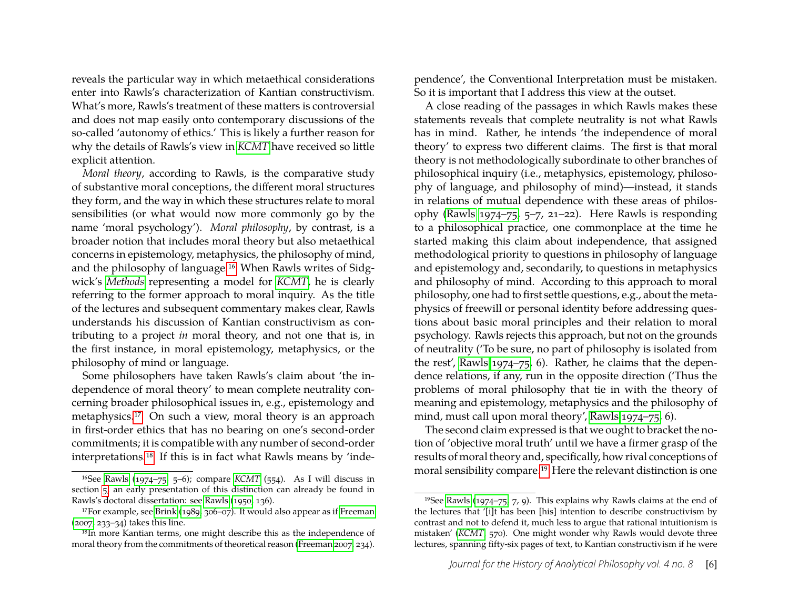reveals the particular way in which metaethical considerations enter into Rawls's characterization of Kantian constructivism. What's more, Rawls's treatment of these matters is controversial and does not map easily onto contemporary discussions of the so-called 'autonomy of ethics.' This is likely a further reason for why the details of Rawls's view in *[KCMT](#page-25-2)* have received so little explicit attention.

*Moral theory*, according to Rawls, is the comparative study of substantive moral conceptions, the different moral structures they form, and the way in which these structures relate to moral sensibilities (or what would now more commonly go by the name 'moral psychology'). *Moral philosophy*, by contrast, is a broader notion that includes moral theory but also metaethical concerns in epistemology, metaphysics, the philosophy of mind, and the philosophy of language[.16](#page-6-0) When Rawls writes of Sidgwick's *[Methods](#page-25-13)* representing a model for *[KCMT](#page-25-2)*, he is clearly referring to the former approach to moral inquiry. As the title of the lectures and subsequent commentary makes clear, Rawls understands his discussion of Kantian constructivism as contributing to a project *in* moral theory, and not one that is, in the first instance, in moral epistemology, metaphysics, or the philosophy of mind or language.

Some philosophers have taken Rawls's claim about 'the independence of moral theory' to mean complete neutrality concerning broader philosophical issues in, e.g., epistemology and metaphysics[.17](#page-6-1) On such a view, moral theory is an approach in first-order ethics that has no bearing on one's second-order commitments; it is compatible with any number of second-order interpretations[.18](#page-6-2) If this is in fact what Rawls means by 'inde-

pendence', the Conventional Interpretation must be mistaken. So it is important that I address this view at the outset.

A close reading of the passages in which Rawls makes these statements reveals that complete neutrality is not what Rawls has in mind. Rather, he intends 'the independence of moral theory' to express two different claims. The first is that moral theory is not methodologically subordinate to other branches of philosophical inquiry (i.e., metaphysics, epistemology, philosophy of language, and philosophy of mind)—instead, it stands in relations of mutual dependence with these areas of philosophy [\(Rawls 1974–75,](#page-25-20) 5–7, 21–22). Here Rawls is responding to a philosophical practice, one commonplace at the time he started making this claim about independence, that assigned methodological priority to questions in philosophy of language and epistemology and, secondarily, to questions in metaphysics and philosophy of mind. According to this approach to moral philosophy, one had to first settle questions, e.g., about the metaphysics of freewill or personal identity before addressing questions about basic moral principles and their relation to moral psychology. Rawls rejects this approach, but not on the grounds of neutrality ('To be sure, no part of philosophy is isolated from the rest', [Rawls 1974–75,](#page-25-20) 6). Rather, he claims that the dependence relations, if any, run in the opposite direction ('Thus the problems of moral philosophy that tie in with the theory of meaning and epistemology, metaphysics and the philosophy of mind, must call upon moral theory', [Rawls 1974–75,](#page-25-20) 6).

The second claim expressed is that we ought to bracket the notion of 'objective moral truth' until we have a firmer grasp of the results of moral theory and, specifically, how rival conceptions of moral sensibility compare[.19](#page-6-3) Here the relevant distinction is one

<span id="page-6-0"></span><sup>16</sup>See [Rawls](#page-25-20) [\(1974–75,](#page-25-20) 5–6); compare *[KCMT](#page-25-2)* (554). As I will discuss in section [5,](#page-11-0) an early presentation of this distinction can already be found in Rawls's doctoral dissertation: see [Rawls](#page-25-21) [\(1950,](#page-25-21) 136).

<span id="page-6-1"></span> $17$ For example, see [Brink](#page-23-4) [\(1989,](#page-23-4) 306–07). It would also appear as if [Freeman](#page-24-16) [\(2007,](#page-24-16) 233–34) takes this line.

<span id="page-6-2"></span><sup>18</sup>In more Kantian terms, one might describe this as the independence of moral theory from the commitments of theoretical reason [\(Freeman 2007,](#page-24-16) 234).

<span id="page-6-3"></span><sup>&</sup>lt;sup>19</sup>See [Rawls](#page-25-20) [\(1974–75,](#page-25-20) 7, 9). This explains why Rawls claims at the end of the lectures that '[i]t has been [his] intention to describe constructivism by contrast and not to defend it, much less to argue that rational intuitionism is mistaken' (*[KCMT](#page-25-2)*, 570). One might wonder why Rawls would devote three lectures, spanning fifty-six pages of text, to Kantian constructivism if he were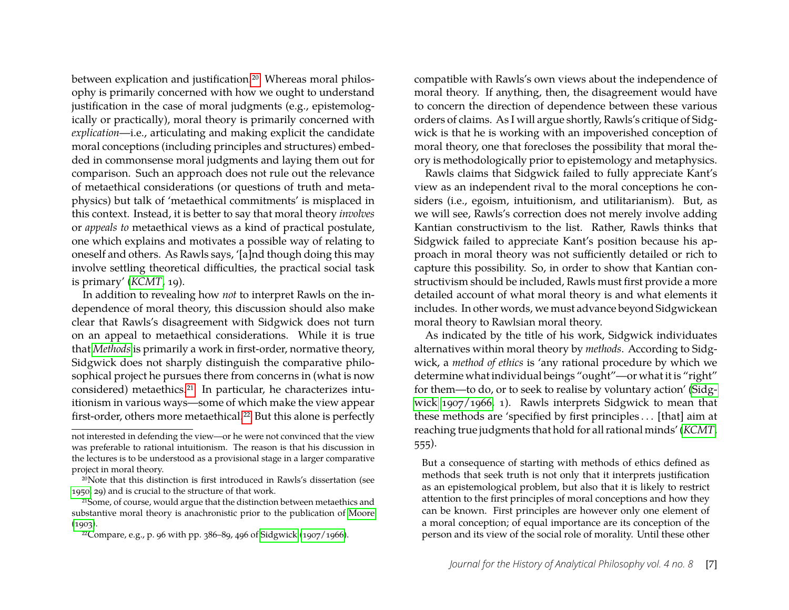between explication and justification.<sup>20</sup> Whereas moral philosophy is primarily concerned with how we ought to understand justification in the case of moral judgments (e.g., epistemologically or practically), moral theory is primarily concerned with *explication*—i.e., articulating and making explicit the candidate moral conceptions (including principles and structures) embedded in commonsense moral judgments and laying them out for comparison. Such an approach does not rule out the relevance of metaethical considerations (or questions of truth and metaphysics) but talk of 'metaethical commitments' is misplaced in this context. Instead, it is better to say that moral theory *involves* or *appeals to* metaethical views as a kind of practical postulate, one which explains and motivates a possible way of relating to oneself and others. As Rawls says, '[a]nd though doing this may involve settling theoretical difficulties, the practical social task is primary' (*[KCMT](#page-25-2)*, 19).

In addition to revealing how *not* to interpret Rawls on the independence of moral theory, this discussion should also make clear that Rawls's disagreement with Sidgwick does not turn on an appeal to metaethical considerations. While it is true that *[Methods](#page-25-13)* is primarily a work in first-order, normative theory, Sidgwick does not sharply distinguish the comparative philosophical project he pursues there from concerns in (what is now considered) metaethics[.21](#page-7-1) In particular, he characterizes intuitionism in various ways—some of which make the view appear first-order, others more metaethical.<sup>22</sup> But this alone is perfectly compatible with Rawls's own views about the independence of moral theory. If anything, then, the disagreement would have to concern the direction of dependence between these various orders of claims. As I will argue shortly, Rawls's critique of Sidgwick is that he is working with an impoverished conception of moral theory, one that forecloses the possibility that moral theory is methodologically prior to epistemology and metaphysics.

Rawls claims that Sidgwick failed to fully appreciate Kant's view as an independent rival to the moral conceptions he considers (i.e., egoism, intuitionism, and utilitarianism). But, as we will see, Rawls's correction does not merely involve adding Kantian constructivism to the list. Rather, Rawls thinks that Sidgwick failed to appreciate Kant's position because his approach in moral theory was not sufficiently detailed or rich to capture this possibility. So, in order to show that Kantian constructivism should be included, Rawls must first provide a more detailed account of what moral theory is and what elements it includes. In other words, we must advance beyond Sidgwickean moral theory to Rawlsian moral theory.

As indicated by the title of his work, Sidgwick individuates alternatives within moral theory by *methods*. According to Sidgwick, a *method of ethics* is 'any rational procedure by which we determine what individual beings "ought"—or what it is "right" for them—to do, or to seek to realise by voluntary action' [\(Sidg](#page-25-13)[wick 1907/1966,](#page-25-13) 1). Rawls interprets Sidgwick to mean that these methods are 'specified by first principles . . . [that] aim at reaching true judgments that hold for all rational minds' (*[KCMT](#page-25-2)*, 555).

But a consequence of starting with methods of ethics defined as methods that seek truth is not only that it interprets justification as an epistemological problem, but also that it is likely to restrict attention to the first principles of moral conceptions and how they can be known. First principles are however only one element of a moral conception; of equal importance are its conception of the person and its view of the social role of morality. Until these other

not interested in defending the view—or he were not convinced that the view was preferable to rational intuitionism. The reason is that his discussion in the lectures is to be understood as a provisional stage in a larger comparative project in moral theory.

<span id="page-7-0"></span><sup>20</sup>Note that this distinction is first introduced in Rawls's dissertation (see [1950,](#page-25-21) 29) and is crucial to the structure of that work.

<span id="page-7-1"></span><sup>21</sup>Some, of course, would argue that the distinction between metaethics and substantive moral theory is anachronistic prior to the publication of [Moore](#page-24-20)  $(1903).$  $(1903).$ 

<span id="page-7-2"></span><sup>22</sup>Compare, e.g., p. 96 with pp. 386–89, 496 of [Sidgwick](#page-25-13) [\(1907/1966\)](#page-25-13).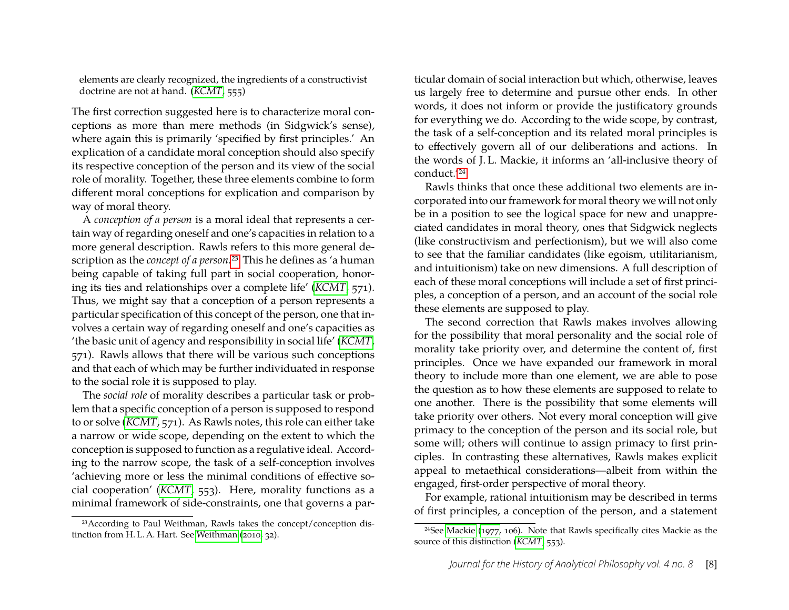elements are clearly recognized, the ingredients of a constructivist doctrine are not at hand. (*[KCMT](#page-25-2)*, 555)

The first correction suggested here is to characterize moral conceptions as more than mere methods (in Sidgwick's sense), where again this is primarily 'specified by first principles.' An explication of a candidate moral conception should also specify its respective conception of the person and its view of the social role of morality. Together, these three elements combine to form different moral conceptions for explication and comparison by way of moral theory.

A *conception of a person* is a moral ideal that represents a certain way of regarding oneself and one's capacities in relation to a more general description. Rawls refers to this more general description as the *concept of a person*[.23](#page-8-0) This he defines as 'a human being capable of taking full part in social cooperation, honoring its ties and relationships over a complete life' (*[KCMT](#page-25-2)*, 571). Thus, we might say that a conception of a person represents a particular specification of this concept of the person, one that involves a certain way of regarding oneself and one's capacities as 'the basic unit of agency and responsibility in social life' (*[KCMT](#page-25-2)*, 571). Rawls allows that there will be various such conceptions and that each of which may be further individuated in response to the social role it is supposed to play.

The *social role* of morality describes a particular task or problem that a specific conception of a person is supposed to respond to or solve (*[KCMT](#page-25-2)*, 571). As Rawls notes, this role can either take a narrow or wide scope, depending on the extent to which the conception is supposed to function as a regulative ideal. According to the narrow scope, the task of a self-conception involves 'achieving more or less the minimal conditions of effective social cooperation' (*[KCMT](#page-25-2)*, 553). Here, morality functions as a minimal framework of side-constraints, one that governs a par-

<span id="page-8-0"></span>23According to Paul Weithman, Rawls takes the concept/conception distinction from H. L. A. Hart. See [Weithman](#page-25-12) [\(2010,](#page-25-12) 32).

ticular domain of social interaction but which, otherwise, leaves us largely free to determine and pursue other ends. In other words, it does not inform or provide the justificatory grounds for everything we do. According to the wide scope, by contrast, the task of a self-conception and its related moral principles is to effectively govern all of our deliberations and actions. In the words of J. L. Mackie, it informs an 'all-inclusive theory of conduct.['24](#page-8-1)

Rawls thinks that once these additional two elements are incorporated into our framework for moral theory we will not only be in a position to see the logical space for new and unappreciated candidates in moral theory, ones that Sidgwick neglects (like constructivism and perfectionism), but we will also come to see that the familiar candidates (like egoism, utilitarianism, and intuitionism) take on new dimensions. A full description of each of these moral conceptions will include a set of first principles, a conception of a person, and an account of the social role these elements are supposed to play.

The second correction that Rawls makes involves allowing for the possibility that moral personality and the social role of morality take priority over, and determine the content of, first principles. Once we have expanded our framework in moral theory to include more than one element, we are able to pose the question as to how these elements are supposed to relate to one another. There is the possibility that some elements will take priority over others. Not every moral conception will give primacy to the conception of the person and its social role, but some will; others will continue to assign primacy to first principles. In contrasting these alternatives, Rawls makes explicit appeal to metaethical considerations—albeit from within the engaged, first-order perspective of moral theory.

For example, rational intuitionism may be described in terms of first principles, a conception of the person, and a statement

<span id="page-8-1"></span><sup>24</sup>See [Mackie](#page-24-21) [\(1977,](#page-24-21) 106). Note that Rawls specifically cites Mackie as the source of this distinction (*[KCMT](#page-25-2)*, 553).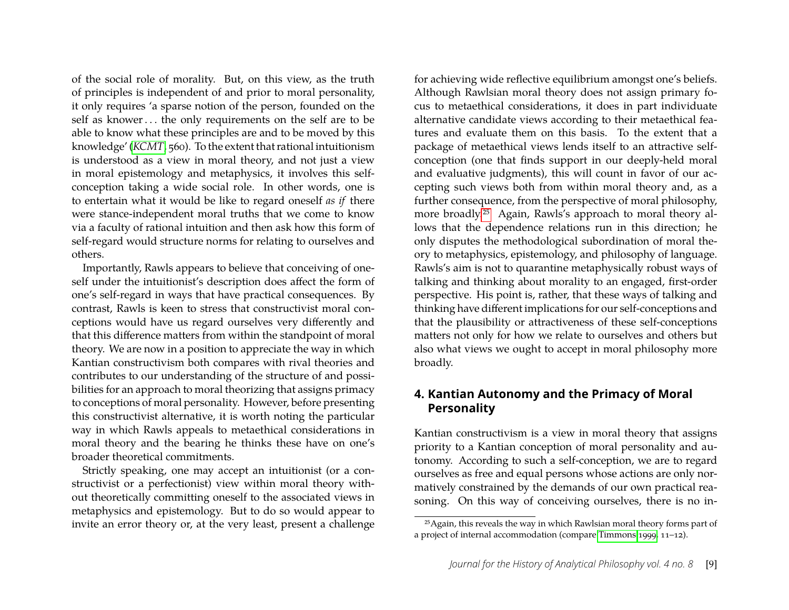of the social role of morality. But, on this view, as the truth of principles is independent of and prior to moral personality, it only requires 'a sparse notion of the person, founded on the self as knower... the only requirements on the self are to be able to know what these principles are and to be moved by this knowledge' (*[KCMT](#page-25-2)*, 560). To the extent that rational intuitionism is understood as a view in moral theory, and not just a view in moral epistemology and metaphysics, it involves this selfconception taking a wide social role. In other words, one is to entertain what it would be like to regard oneself *as if* there were stance-independent moral truths that we come to know via a faculty of rational intuition and then ask how this form of self-regard would structure norms for relating to ourselves and others.

Importantly, Rawls appears to believe that conceiving of oneself under the intuitionist's description does affect the form of one's self-regard in ways that have practical consequences. By contrast, Rawls is keen to stress that constructivist moral conceptions would have us regard ourselves very differently and that this difference matters from within the standpoint of moral theory. We are now in a position to appreciate the way in which Kantian constructivism both compares with rival theories and contributes to our understanding of the structure of and possibilities for an approach to moral theorizing that assigns primacy to conceptions of moral personality. However, before presenting this constructivist alternative, it is worth noting the particular way in which Rawls appeals to metaethical considerations in moral theory and the bearing he thinks these have on one's broader theoretical commitments.

Strictly speaking, one may accept an intuitionist (or a constructivist or a perfectionist) view within moral theory without theoretically committing oneself to the associated views in metaphysics and epistemology. But to do so would appear to invite an error theory or, at the very least, present a challenge for achieving wide reflective equilibrium amongst one's beliefs. Although Rawlsian moral theory does not assign primary focus to metaethical considerations, it does in part individuate alternative candidate views according to their metaethical features and evaluate them on this basis. To the extent that a package of metaethical views lends itself to an attractive selfconception (one that finds support in our deeply-held moral and evaluative judgments), this will count in favor of our accepting such views both from within moral theory and, as a further consequence, from the perspective of moral philosophy, more broadly[.25](#page-9-1) Again, Rawls's approach to moral theory allows that the dependence relations run in this direction; he only disputes the methodological subordination of moral theory to metaphysics, epistemology, and philosophy of language. Rawls's aim is not to quarantine metaphysically robust ways of talking and thinking about morality to an engaged, first-order perspective. His point is, rather, that these ways of talking and thinking have different implications for our self-conceptions and that the plausibility or attractiveness of these self-conceptions matters not only for how we relate to ourselves and others but also what views we ought to accept in moral philosophy more broadly.

### <span id="page-9-0"></span>**4. Kantian Autonomy and the Primacy of Moral Personality**

Kantian constructivism is a view in moral theory that assigns priority to a Kantian conception of moral personality and autonomy. According to such a self-conception, we are to regard ourselves as free and equal persons whose actions are only normatively constrained by the demands of our own practical reasoning. On this way of conceiving ourselves, there is no in-

<span id="page-9-1"></span><sup>25</sup>Again, this reveals the way in which Rawlsian moral theory forms part of a project of internal accommodation (compare [Timmons 1999,](#page-25-14) 11–12).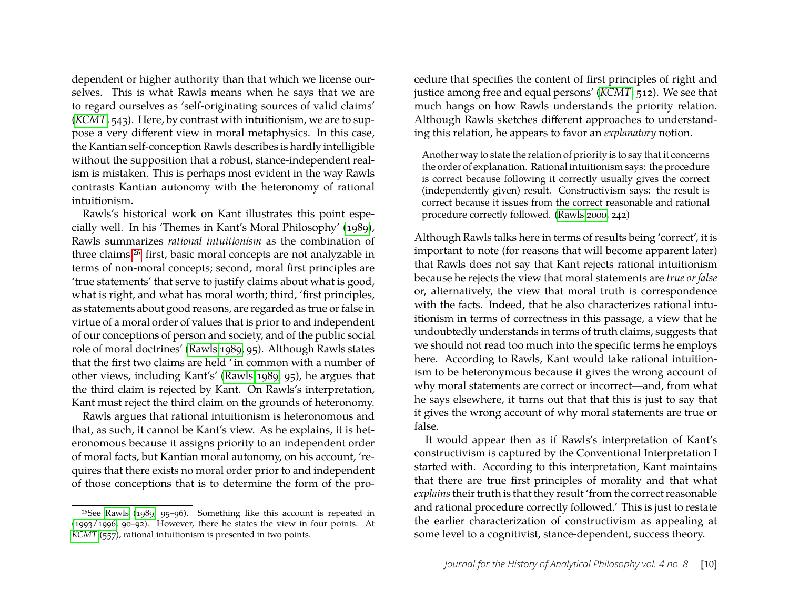dependent or higher authority than that which we license ourselves. This is what Rawls means when he says that we are to regard ourselves as 'self-originating sources of valid claims' (*[KCMT](#page-25-2)*, 543). Here, by contrast with intuitionism, we are to suppose a very different view in moral metaphysics. In this case, the Kantian self-conception Rawls describes is hardly intelligible without the supposition that a robust, stance-independent realism is mistaken. This is perhaps most evident in the way Rawls contrasts Kantian autonomy with the heteronomy of rational intuitionism.

Rawls's historical work on Kant illustrates this point especially well. In his 'Themes in Kant's Moral Philosophy' [\(1989\)](#page-25-16), Rawls summarizes *rational intuitionism* as the combination of three claims[:26](#page-10-0) first, basic moral concepts are not analyzable in terms of non-moral concepts; second, moral first principles are 'true statements' that serve to justify claims about what is good, what is right, and what has moral worth; third, 'first principles, as statements about good reasons, are regarded as true or false in virtue of a moral order of values that is prior to and independent of our conceptions of person and society, and of the public social role of moral doctrines' [\(Rawls 1989,](#page-25-16) 95). Although Rawls states that the first two claims are held ' in common with a number of other views, including Kant's' [\(Rawls 1989,](#page-25-16) 95), he argues that the third claim is rejected by Kant. On Rawls's interpretation, Kant must reject the third claim on the grounds of heteronomy.

Rawls argues that rational intuitionism is heteronomous and that, as such, it cannot be Kant's view. As he explains, it is heteronomous because it assigns priority to an independent order of moral facts, but Kantian moral autonomy, on his account, 'requires that there exists no moral order prior to and independent of those conceptions that is to determine the form of the procedure that specifies the content of first principles of right and justice among free and equal persons' (*[KCMT](#page-25-2)*, 512). We see that much hangs on how Rawls understands the priority relation. Although Rawls sketches different approaches to understanding this relation, he appears to favor an *explanatory* notion.

Another way to state the relation of priority is to say that it concerns the order of explanation. Rational intuitionism says: the procedure is correct because following it correctly usually gives the correct (independently given) result. Constructivism says: the result is correct because it issues from the correct reasonable and rational procedure correctly followed. [\(Rawls 2000,](#page-25-18) 242)

Although Rawls talks here in terms of results being 'correct', it is important to note (for reasons that will become apparent later) that Rawls does not say that Kant rejects rational intuitionism because he rejects the view that moral statements are *true or false* or, alternatively, the view that moral truth is correspondence with the facts. Indeed, that he also characterizes rational intuitionism in terms of correctness in this passage, a view that he undoubtedly understands in terms of truth claims, suggests that we should not read too much into the specific terms he employs here. According to Rawls, Kant would take rational intuitionism to be heteronymous because it gives the wrong account of why moral statements are correct or incorrect—and, from what he says elsewhere, it turns out that that this is just to say that it gives the wrong account of why moral statements are true or false.

It would appear then as if Rawls's interpretation of Kant's constructivism is captured by the Conventional Interpretation I started with. According to this interpretation, Kant maintains that there are true first principles of morality and that what *explains*their truth is that they result 'from the correct reasonable and rational procedure correctly followed.' This is just to restate the earlier characterization of constructivism as appealing at some level to a cognitivist, stance-dependent, success theory.

<span id="page-10-0"></span> $26$ See [Rawls](#page-25-16) [\(1989,](#page-25-16) 95–96). Something like this account is repeated in [\(1993/1996,](#page-25-17) 90–92). However, there he states the view in four points. At *[KCMT](#page-25-2)* (557), rational intuitionism is presented in two points.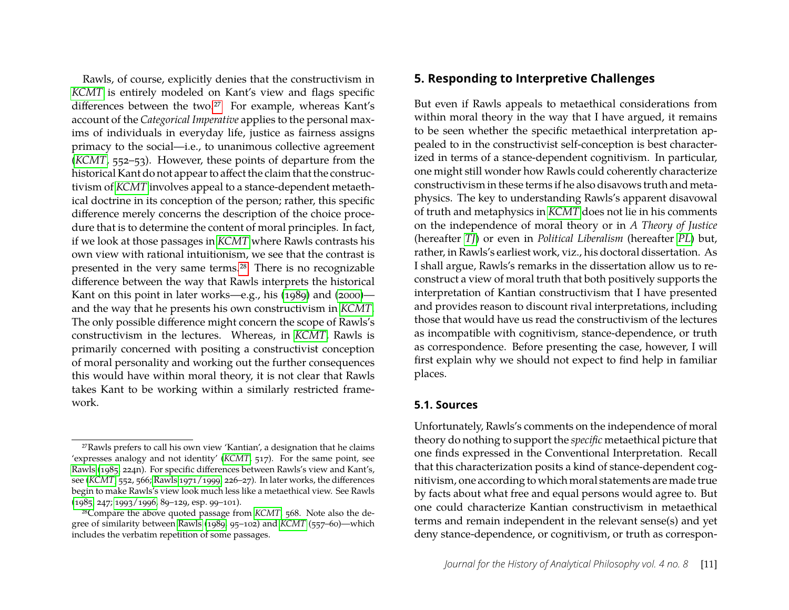Rawls, of course, explicitly denies that the constructivism in *[KCMT](#page-25-2)* is entirely modeled on Kant's view and flags specific differences between the two.<sup>27</sup> For example, whereas Kant's account of the *Categorical Imperative* applies to the personal maxims of individuals in everyday life, justice as fairness assigns primacy to the social—i.e., to unanimous collective agreement (*[KCMT](#page-25-2)*, 552–53). However, these points of departure from the historical Kant do not appear to affect the claim that the constructivism of *[KCMT](#page-25-2)* involves appeal to a stance-dependent metaethical doctrine in its conception of the person; rather, this specific difference merely concerns the description of the choice procedure that is to determine the content of moral principles. In fact, if we look at those passages in *[KCMT](#page-25-2)* where Rawls contrasts his own view with rational intuitionism, we see that the contrast is presented in the very same terms[.28](#page-11-2) There is no recognizable difference between the way that Rawls interprets the historical Kant on this point in later works—e.g., his [\(1989\)](#page-25-16) and [\(2000\)](#page-25-18) and the way that he presents his own constructivism in *[KCMT](#page-25-2)*. The only possible difference might concern the scope of Rawls's constructivism in the lectures. Whereas, in *[KCMT](#page-25-2)*, Rawls is primarily concerned with positing a constructivist conception of moral personality and working out the further consequences this would have within moral theory, it is not clear that Rawls takes Kant to be working within a similarly restricted framework.

#### <span id="page-11-0"></span>**5. Responding to Interpretive Challenges**

But even if Rawls appeals to metaethical considerations from within moral theory in the way that I have argued, it remains to be seen whether the specific metaethical interpretation appealed to in the constructivist self-conception is best characterized in terms of a stance-dependent cognitivism. In particular, one might still wonder how Rawls could coherently characterize constructivism in these terms if he also disavows truth and metaphysics. The key to understanding Rawls's apparent disavowal of truth and metaphysics in *[KCMT](#page-25-2)* does not lie in his comments on the independence of moral theory or in *A Theory of Justice* (hereafter *[TJ](#page-25-19)*) or even in *Political Liberalism* (hereafter *[PL](#page-25-17)*) but, rather, in Rawls's earliest work, viz., his doctoral dissertation. As I shall argue, Rawls's remarks in the dissertation allow us to reconstruct a view of moral truth that both positively supports the interpretation of Kantian constructivism that I have presented and provides reason to discount rival interpretations, including those that would have us read the constructivism of the lectures as incompatible with cognitivism, stance-dependence, or truth as correspondence. Before presenting the case, however, I will first explain why we should not expect to find help in familiar places.

#### **5.1. Sources**

Unfortunately, Rawls's comments on the independence of moral theory do nothing to support the *specific* metaethical picture that one finds expressed in the Conventional Interpretation. Recall that this characterization posits a kind of stance-dependent cognitivism, one according to which moral statements are made true by facts about what free and equal persons would agree to. But one could characterize Kantian constructivism in metaethical terms and remain independent in the relevant sense(s) and yet deny stance-dependence, or cognitivism, or truth as correspon-

<span id="page-11-1"></span><sup>27</sup>Rawls prefers to call his own view 'Kantian', a designation that he claims 'expresses analogy and not identity' (*[KCMT](#page-25-2)*, 517). For the same point, see [Rawls](#page-25-15) [\(1985,](#page-25-15) 224n). For specific differences between Rawls's view and Kant's, see (*[KCMT](#page-25-2)*, 552, 566; [Rawls 1971/1999,](#page-25-19) 226–27). In later works, the differences begin to make Rawls's view look much less like a metaethical view. See Rawls [\(1985,](#page-25-15) 247; [1993/1996,](#page-25-17) 89–129, esp. 99–101).

<span id="page-11-2"></span><sup>28</sup>Compare the above quoted passage from *[KCMT](#page-25-2)*, 568. Note also the degree of similarity between [Rawls](#page-25-16) [\(1989,](#page-25-16) 95–102) and *[KCMT](#page-25-2)* (557–60)—which includes the verbatim repetition of some passages.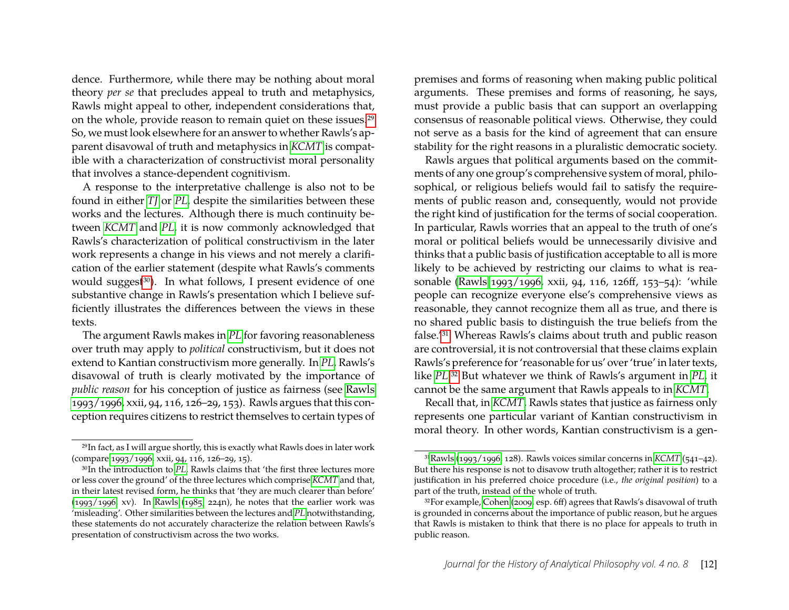dence. Furthermore, while there may be nothing about moral theory *per se* that precludes appeal to truth and metaphysics, Rawls might appeal to other, independent considerations that, on the whole, provide reason to remain quiet on these issues[.29](#page-12-0) So, we must look elsewhere for an answer to whether Rawls's apparent disavowal of truth and metaphysics in *[KCMT](#page-25-2)* is compatible with a characterization of constructivist moral personality that involves a stance-dependent cognitivism.

A response to the interpretative challenge is also not to be found in either *[TJ](#page-25-19)* or *[PL](#page-25-17)*, despite the similarities between these works and the lectures. Although there is much continuity between *[KCMT](#page-25-2)* and *[PL](#page-25-17)*, it is now commonly acknowledged that Rawls's characterization of political constructivism in the later work represents a change in his views and not merely a clarification of the earlier statement (despite what Rawls's comments would suggest<sup>30</sup>). In what follows, I present evidence of one substantive change in Rawls's presentation which I believe sufficiently illustrates the differences between the views in these texts.

The argument Rawls makes in *[PL](#page-25-17)* for favoring reasonableness over truth may apply to *political* constructivism, but it does not extend to Kantian constructivism more generally. In *[PL](#page-25-17)*, Rawls's disavowal of truth is clearly motivated by the importance of *public reason* for his conception of justice as fairness (see [Rawls](#page-25-17) [1993/1996,](#page-25-17) xxii, 94, 116, 126–29, 153). Rawls argues that this conception requires citizens to restrict themselves to certain types of premises and forms of reasoning when making public political arguments. These premises and forms of reasoning, he says, must provide a public basis that can support an overlapping consensus of reasonable political views. Otherwise, they could not serve as a basis for the kind of agreement that can ensure stability for the right reasons in a pluralistic democratic society.

Rawls argues that political arguments based on the commitments of any one group's comprehensive system of moral, philosophical, or religious beliefs would fail to satisfy the requirements of public reason and, consequently, would not provide the right kind of justification for the terms of social cooperation. In particular, Rawls worries that an appeal to the truth of one's moral or political beliefs would be unnecessarily divisive and thinks that a public basis of justification acceptable to all is more likely to be achieved by restricting our claims to what is reasonable [\(Rawls 1993/1996,](#page-25-17) xxii, 94, 116, 126ff, 153–54): 'while people can recognize everyone else's comprehensive views as reasonable, they cannot recognize them all as true, and there is no shared public basis to distinguish the true beliefs from the false.['31](#page-12-2) Whereas Rawls's claims about truth and public reason are controversial, it is not controversial that these claims explain Rawls's preference for 'reasonable for us' over 'true' in later texts, like *[PL](#page-25-17)*[.32](#page-12-3) But whatever we think of Rawls's argument in *[PL](#page-25-17)*, it cannot be the same argument that Rawls appeals to in *[KCMT](#page-25-2)*.

Recall that, in *[KCMT](#page-25-2)*, Rawls states that justice as fairness only represents one particular variant of Kantian constructivism in moral theory. In other words, Kantian constructivism is a gen-

<span id="page-12-0"></span><sup>29</sup>In fact, as I will argue shortly, this is exactly what Rawls does in later work (compare [1993/1996,](#page-25-17) xxii, 94, 116, 126–29, 15).

<span id="page-12-1"></span><sup>30</sup>In the introduction to *[PL](#page-25-17)*, Rawls claims that 'the first three lectures more or less cover the ground' of the three lectures which comprise *[KCMT](#page-25-2)* and that, in their latest revised form, he thinks that 'they are much clearer than before'  $(1993/1996, xv)$  $(1993/1996, xv)$ . In [Rawls](#page-25-15)  $(1985, 224n)$  $(1985, 224n)$ , he notes that the earlier work was 'misleading'. Other similarities between the lectures and *[PL](#page-25-17)* notwithstanding, these statements do not accurately characterize the relation between Rawls's presentation of constructivism across the two works.

<span id="page-12-2"></span><sup>3</sup>[1Rawls](#page-25-17) [\(1993/1996,](#page-25-17) 128). Rawls voices similar concerns in *[KCMT](#page-25-2)* (541–42). But there his response is not to disavow truth altogether; rather it is to restrict justification in his preferred choice procedure (i.e., *the original position*) to a part of the truth, instead of the whole of truth.

<span id="page-12-3"></span><sup>32</sup>For example, [Cohen](#page-23-8) [\(2009,](#page-23-8) esp. 6ff) agrees that Rawls's disavowal of truth is grounded in concerns about the importance of public reason, but he argues that Rawls is mistaken to think that there is no place for appeals to truth in public reason.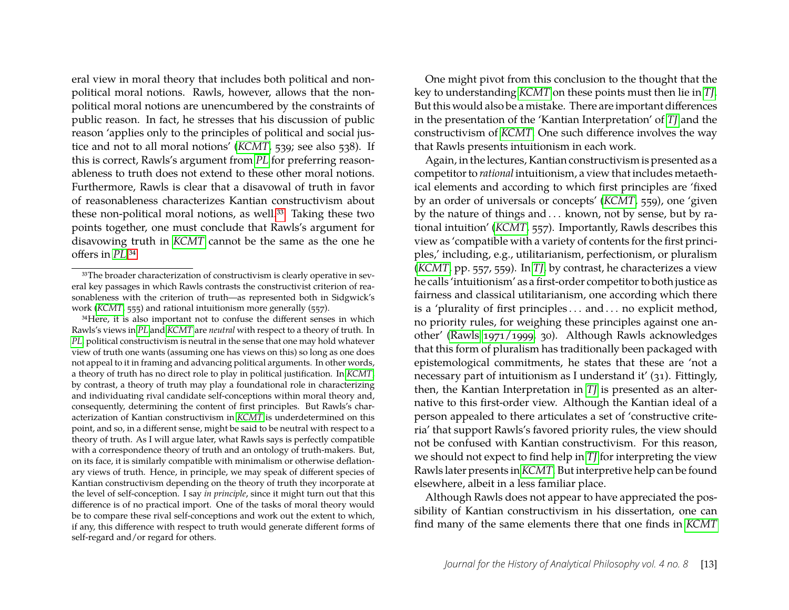eral view in moral theory that includes both political and nonpolitical moral notions. Rawls, however, allows that the nonpolitical moral notions are unencumbered by the constraints of public reason. In fact, he stresses that his discussion of public reason 'applies only to the principles of political and social justice and not to all moral notions' (*[KCMT](#page-25-2)*, 539; see also 538). If this is correct, Rawls's argument from *[PL](#page-25-17)* for preferring reasonableness to truth does not extend to these other moral notions. Furthermore, Rawls is clear that a disavowal of truth in favor of reasonableness characterizes Kantian constructivism about these non-political moral notions, as well.<sup>33</sup> Taking these two points together, one must conclude that Rawls's argument for disavowing truth in *[KCMT](#page-25-2)* cannot be the same as the one he offers in *[PL](#page-25-17)*[.34](#page-13-1)

<span id="page-13-1"></span>34Here, it is also important not to confuse the different senses in which Rawls's views in *[PL](#page-25-17)* and *[KCMT](#page-25-2)* are *neutral* with respect to a theory of truth. In *[PL](#page-25-17)*, political constructivism is neutral in the sense that one may hold whatever view of truth one wants (assuming one has views on this) so long as one does not appeal to it in framing and advancing political arguments. In other words, a theory of truth has no direct role to play in political justification. In *[KCMT](#page-25-2)*, by contrast, a theory of truth may play a foundational role in characterizing and individuating rival candidate self-conceptions within moral theory and, consequently, determining the content of first principles. But Rawls's characterization of Kantian constructivism in *[KCMT](#page-25-2)* is underdetermined on this point, and so, in a different sense, might be said to be neutral with respect to a theory of truth. As I will argue later, what Rawls says is perfectly compatible with a correspondence theory of truth and an ontology of truth-makers. But, on its face, it is similarly compatible with minimalism or otherwise deflationary views of truth. Hence, in principle, we may speak of different species of Kantian constructivism depending on the theory of truth they incorporate at the level of self-conception. I say *in principle*, since it might turn out that this difference is of no practical import. One of the tasks of moral theory would be to compare these rival self-conceptions and work out the extent to which, if any, this difference with respect to truth would generate different forms of self-regard and/or regard for others.

One might pivot from this conclusion to the thought that the key to understanding *[KCMT](#page-25-2)* on these points must then lie in *[TJ](#page-25-19)*. But this would also be a mistake. There are important differences in the presentation of the 'Kantian Interpretation' of *[TJ](#page-25-19)* and the constructivism of *[KCMT](#page-25-2)*. One such difference involves the way that Rawls presents intuitionism in each work.

Again, in the lectures, Kantian constructivism is presented as a competitor to *rational* intuitionism, a view that includes metaethical elements and according to which first principles are 'fixed by an order of universals or concepts' (*[KCMT](#page-25-2)*, 559), one 'given by the nature of things and . . . known, not by sense, but by rational intuition' (*[KCMT](#page-25-2)*, 557). Importantly, Rawls describes this view as 'compatible with a variety of contents for the first principles,' including, e.g., utilitarianism, perfectionism, or pluralism (*[KCMT](#page-25-2)*, pp. 557, 559). In *[TJ](#page-25-19)*, by contrast, he characterizes a view he calls 'intuitionism' as a first-order competitor to both justice as fairness and classical utilitarianism, one according which there is a 'plurality of first principles ... and ... no explicit method, no priority rules, for weighing these principles against one another' [\(Rawls 1971/1999,](#page-25-19) 30). Although Rawls acknowledges that this form of pluralism has traditionally been packaged with epistemological commitments, he states that these are 'not a necessary part of intuitionism as I understand it' (31). Fittingly, then, the Kantian Interpretation in *[TJ](#page-25-19)* is presented as an alternative to this first-order view. Although the Kantian ideal of a person appealed to there articulates a set of 'constructive criteria' that support Rawls's favored priority rules, the view should not be confused with Kantian constructivism. For this reason, we should not expect to find help in *[TJ](#page-25-19)* for interpreting the view Rawls later presents in*[KCMT](#page-25-2)*. But interpretive help can be found elsewhere, albeit in a less familiar place.

Although Rawls does not appear to have appreciated the possibility of Kantian constructivism in his dissertation, one can find many of the same elements there that one finds in *[KCMT](#page-25-2)*

<span id="page-13-0"></span><sup>33</sup>The broader characterization of constructivism is clearly operative in several key passages in which Rawls contrasts the constructivist criterion of reasonableness with the criterion of truth—as represented both in Sidgwick's work (*[KCMT](#page-25-2)*, 555) and rational intuitionism more generally (557).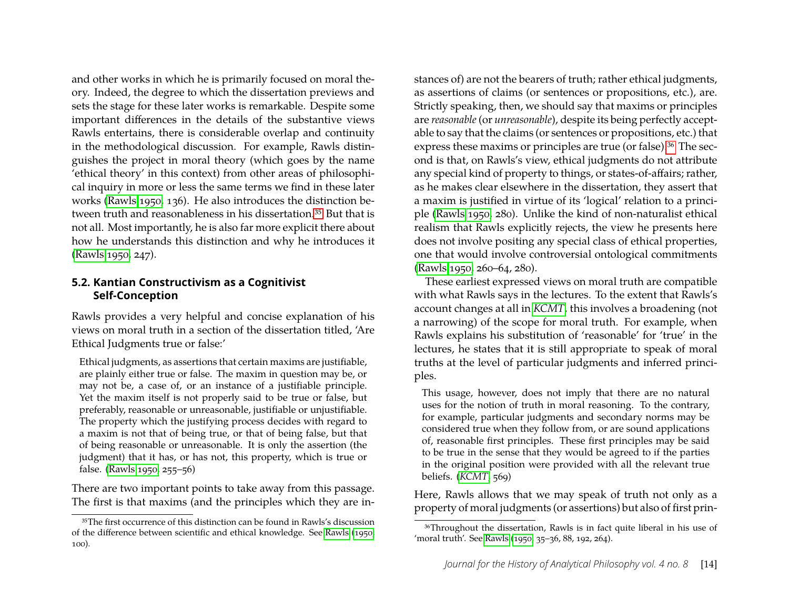and other works in which he is primarily focused on moral theory. Indeed, the degree to which the dissertation previews and sets the stage for these later works is remarkable. Despite some important differences in the details of the substantive views Rawls entertains, there is considerable overlap and continuity in the methodological discussion. For example, Rawls distinguishes the project in moral theory (which goes by the name 'ethical theory' in this context) from other areas of philosophical inquiry in more or less the same terms we find in these later works [\(Rawls 1950,](#page-25-21) 136). He also introduces the distinction between truth and reasonableness in his dissertation.<sup>35</sup> But that is not all. Most importantly, he is also far more explicit there about how he understands this distinction and why he introduces it [\(Rawls 1950,](#page-25-21) 247).

#### **5.2. Kantian Constructivism as a Cognitivist Self-Conception**

Rawls provides a very helpful and concise explanation of his views on moral truth in a section of the dissertation titled, 'Are Ethical Judgments true or false:'

Ethical judgments, as assertions that certain maxims are justifiable, are plainly either true or false. The maxim in question may be, or may not be, a case of, or an instance of a justifiable principle. Yet the maxim itself is not properly said to be true or false, but preferably, reasonable or unreasonable, justifiable or unjustifiable. The property which the justifying process decides with regard to a maxim is not that of being true, or that of being false, but that of being reasonable or unreasonable. It is only the assertion (the judgment) that it has, or has not, this property, which is true or false. [\(Rawls 1950,](#page-25-21) 255–56)

There are two important points to take away from this passage. The first is that maxims (and the principles which they are in-

stances of) are not the bearers of truth; rather ethical judgments, as assertions of claims (or sentences or propositions, etc.), are. Strictly speaking, then, we should say that maxims or principles are *reasonable*(or *unreasonable*), despite its being perfectly acceptable to say that the claims (or sentences or propositions, etc.) that express these maxims or principles are true (or false).<sup>36</sup> The second is that, on Rawls's view, ethical judgments do not attribute any special kind of property to things, or states-of-affairs; rather, as he makes clear elsewhere in the dissertation, they assert that a maxim is justified in virtue of its 'logical' relation to a principle [\(Rawls 1950,](#page-25-21) 280). Unlike the kind of non-naturalist ethical realism that Rawls explicitly rejects, the view he presents here does not involve positing any special class of ethical properties, one that would involve controversial ontological commitments [\(Rawls 1950,](#page-25-21) 260–64, 280).

These earliest expressed views on moral truth are compatible with what Rawls says in the lectures. To the extent that Rawls's account changes at all in *[KCMT](#page-25-2)*, this involves a broadening (not a narrowing) of the scope for moral truth. For example, when Rawls explains his substitution of 'reasonable' for 'true' in the lectures, he states that it is still appropriate to speak of moral truths at the level of particular judgments and inferred principles.

This usage, however, does not imply that there are no natural uses for the notion of truth in moral reasoning. To the contrary, for example, particular judgments and secondary norms may be considered true when they follow from, or are sound applications of, reasonable first principles. These first principles may be said to be true in the sense that they would be agreed to if the parties in the original position were provided with all the relevant true beliefs. (*[KCMT](#page-25-2)*, 569)

Here, Rawls allows that we may speak of truth not only as a property of moral judgments (or assertions) but also of first prin-

<span id="page-14-0"></span><sup>35</sup>The first occurrence of this distinction can be found in Rawls's discussion of the difference between scientific and ethical knowledge. See [Rawls](#page-25-21) [\(1950,](#page-25-21) 100).

<span id="page-14-1"></span><sup>36</sup>Throughout the dissertation, Rawls is in fact quite liberal in his use of 'moral truth'. See [Rawls](#page-25-21) [\(1950,](#page-25-21) 35–36, 88, 192, 264).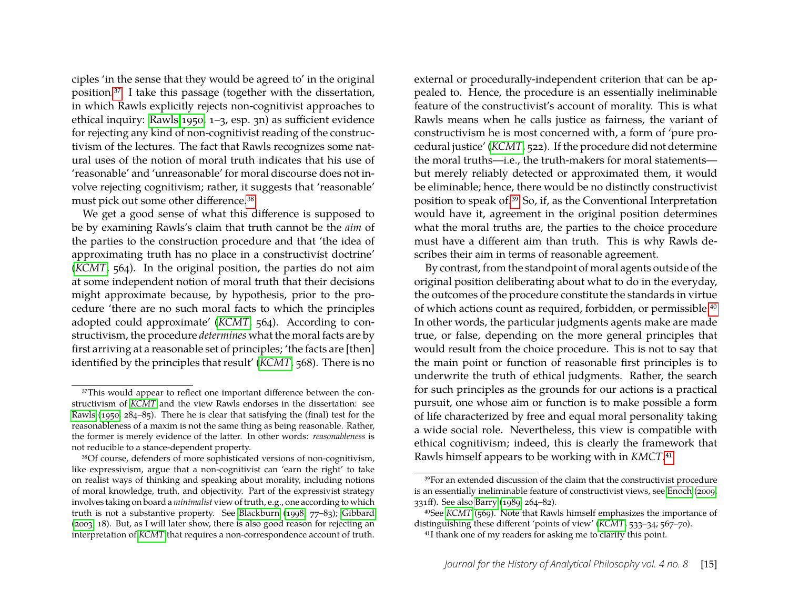ciples 'in the sense that they would be agreed to' in the original position[.37](#page-15-0) I take this passage (together with the dissertation, in which Rawls explicitly rejects non-cognitivist approaches to ethical inquiry: [Rawls 1950,](#page-25-21) 1–3, esp. 3n) as sufficient evidence for rejecting any kind of non-cognitivist reading of the constructivism of the lectures. The fact that Rawls recognizes some natural uses of the notion of moral truth indicates that his use of 'reasonable' and 'unreasonable' for moral discourse does not involve rejecting cognitivism; rather, it suggests that 'reasonable' must pick out some other difference[.38](#page-15-1)

We get a good sense of what this difference is supposed to be by examining Rawls's claim that truth cannot be the *aim* of the parties to the construction procedure and that 'the idea of approximating truth has no place in a constructivist doctrine' (*[KCMT](#page-25-2)*, 564). In the original position, the parties do not aim at some independent notion of moral truth that their decisions might approximate because, by hypothesis, prior to the procedure 'there are no such moral facts to which the principles adopted could approximate' (*[KCMT](#page-25-2)*, 564). According to constructivism, the procedure *determines* what the moral facts are by first arriving at a reasonable set of principles; 'the facts are [then] identified by the principles that result' (*[KCMT](#page-25-2)*, 568). There is no external or procedurally-independent criterion that can be appealed to. Hence, the procedure is an essentially ineliminable feature of the constructivist's account of morality. This is what Rawls means when he calls justice as fairness, the variant of constructivism he is most concerned with, a form of 'pure procedural justice' (*[KCMT](#page-25-2)*, 522). If the procedure did not determine the moral truths—i.e., the truth-makers for moral statements but merely reliably detected or approximated them, it would be eliminable; hence, there would be no distinctly constructivist position to speak of[.39](#page-15-2) So, if, as the Conventional Interpretation would have it, agreement in the original position determines what the moral truths are, the parties to the choice procedure must have a different aim than truth. This is why Rawls describes their aim in terms of reasonable agreement.

By contrast, from the standpoint of moral agents outside of the original position deliberating about what to do in the everyday, the outcomes of the procedure constitute the standards in virtue of which actions count as required, forbidden, or permissible[.40](#page-15-3) In other words, the particular judgments agents make are made true, or false, depending on the more general principles that would result from the choice procedure. This is not to say that the main point or function of reasonable first principles is to underwrite the truth of ethical judgments. Rather, the search for such principles as the grounds for our actions is a practical pursuit, one whose aim or function is to make possible a form of life characterized by free and equal moral personality taking a wide social role. Nevertheless, this view is compatible with ethical cognitivism; indeed, this is clearly the framework that Rawls himself appears to be working with in *KMCT*[.41](#page-15-4)

<span id="page-15-0"></span><sup>&</sup>lt;sup>37</sup>This would appear to reflect one important difference between the constructivism of *[KCMT](#page-25-2)* and the view Rawls endorses in the dissertation: see [Rawls](#page-25-21) [\(1950,](#page-25-21) 284–85). There he is clear that satisfying the (final) test for the reasonableness of a maxim is not the same thing as being reasonable. Rather, the former is merely evidence of the latter. In other words: *reasonableness* is not reducible to a stance-dependent property.

<span id="page-15-1"></span><sup>38</sup>Of course, defenders of more sophisticated versions of non-cognitivism, like expressivism, argue that a non-cognitivist can 'earn the right' to take on realist ways of thinking and speaking about morality, including notions of moral knowledge, truth, and objectivity. Part of the expressivist strategy involves taking on board a*minimalist* view of truth, e.g., one according to which truth is not a substantive property. See [Blackburn](#page-23-7) [\(1998,](#page-23-7) 77–83); [Gibbard](#page-24-17) [\(2003,](#page-24-17) 18). But, as I will later show, there is also good reason for rejecting an interpretation of *[KCMT](#page-25-2)* that requires a non-correspondence account of truth.

<span id="page-15-2"></span><sup>39</sup>For an extended discussion of the claim that the constructivist procedure is an essentially ineliminable feature of constructivist views, see [Enoch](#page-23-5) [\(2009,](#page-23-5) 331ff). See also [Barry](#page-23-6) [\(1989,](#page-23-6) 264–82).

<span id="page-15-3"></span><sup>40</sup>See *[KCMT](#page-25-2)* (569). Note that Rawls himself emphasizes the importance of distinguishing these different 'points of view' (*[KCMT](#page-25-2)*, 533–34; 567–70).

<span id="page-15-4"></span><sup>41</sup>I thank one of my readers for asking me to clarify this point.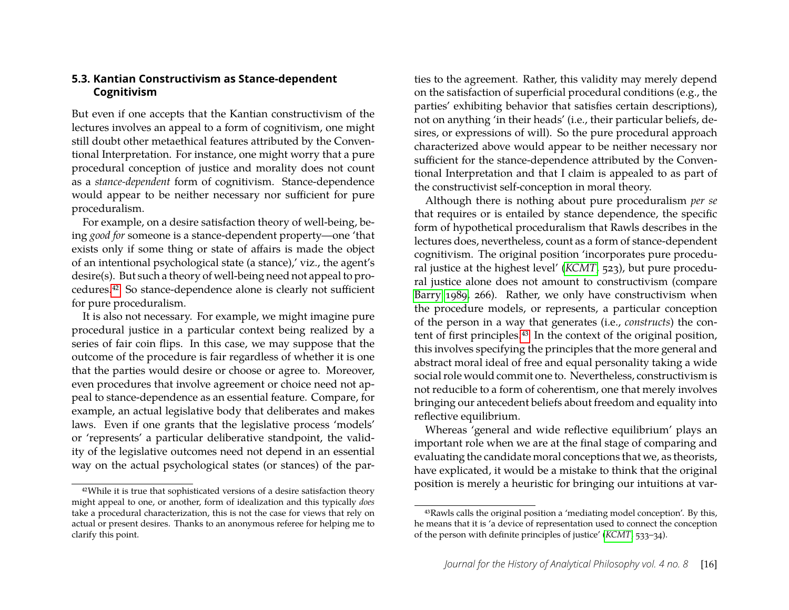#### **5.3. Kantian Constructivism as Stance-dependent Cognitivism**

But even if one accepts that the Kantian constructivism of the lectures involves an appeal to a form of cognitivism, one might still doubt other metaethical features attributed by the Conventional Interpretation. For instance, one might worry that a pure procedural conception of justice and morality does not count as a *stance-dependent* form of cognitivism. Stance-dependence would appear to be neither necessary nor sufficient for pure proceduralism.

For example, on a desire satisfaction theory of well-being, being *good for* someone is a stance-dependent property—one 'that exists only if some thing or state of affairs is made the object of an intentional psychological state (a stance),' viz., the agent's desire(s). But such a theory of well-being need not appeal to procedures[.42](#page-16-0) So stance-dependence alone is clearly not sufficient for pure proceduralism.

It is also not necessary. For example, we might imagine pure procedural justice in a particular context being realized by a series of fair coin flips. In this case, we may suppose that the outcome of the procedure is fair regardless of whether it is one that the parties would desire or choose or agree to. Moreover, even procedures that involve agreement or choice need not appeal to stance-dependence as an essential feature. Compare, for example, an actual legislative body that deliberates and makes laws. Even if one grants that the legislative process 'models' or 'represents' a particular deliberative standpoint, the validity of the legislative outcomes need not depend in an essential way on the actual psychological states (or stances) of the par-

ties to the agreement. Rather, this validity may merely depend on the satisfaction of superficial procedural conditions (e.g., the parties' exhibiting behavior that satisfies certain descriptions), not on anything 'in their heads' (i.e., their particular beliefs, desires, or expressions of will). So the pure procedural approach characterized above would appear to be neither necessary nor sufficient for the stance-dependence attributed by the Conventional Interpretation and that I claim is appealed to as part of the constructivist self-conception in moral theory.

Although there is nothing about pure proceduralism *per se* that requires or is entailed by stance dependence, the specific form of hypothetical proceduralism that Rawls describes in the lectures does, nevertheless, count as a form of stance-dependent cognitivism. The original position 'incorporates pure procedural justice at the highest level' (*[KCMT](#page-25-2)*, 523), but pure procedural justice alone does not amount to constructivism (compare [Barry 1989,](#page-23-6) 266). Rather, we only have constructivism when the procedure models, or represents, a particular conception of the person in a way that generates (i.e., *constructs*) the content of first principles[.43](#page-16-1) In the context of the original position, this involves specifying the principles that the more general and abstract moral ideal of free and equal personality taking a wide social role would commit one to. Nevertheless, constructivism is not reducible to a form of coherentism, one that merely involves bringing our antecedent beliefs about freedom and equality into reflective equilibrium.

Whereas 'general and wide reflective equilibrium' plays an important role when we are at the final stage of comparing and evaluating the candidate moral conceptions that we, as theorists, have explicated, it would be a mistake to think that the original position is merely a heuristic for bringing our intuitions at var-

<span id="page-16-0"></span><sup>42</sup>While it is true that sophisticated versions of a desire satisfaction theory might appeal to one, or another, form of idealization and this typically *does* take a procedural characterization, this is not the case for views that rely on actual or present desires. Thanks to an anonymous referee for helping me to clarify this point.

<span id="page-16-1"></span><sup>43</sup>Rawls calls the original position a 'mediating model conception'. By this, he means that it is 'a device of representation used to connect the conception of the person with definite principles of justice' (*[KCMT](#page-25-2)*, 533–34).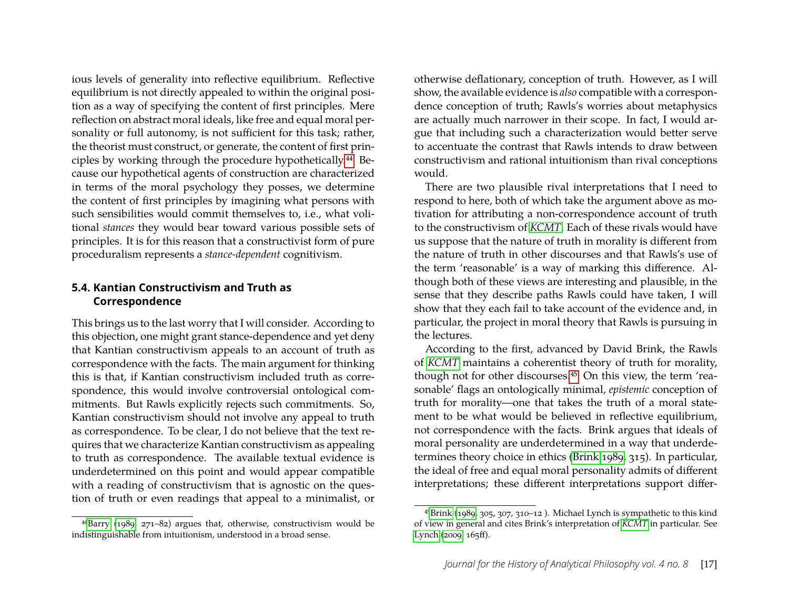ious levels of generality into reflective equilibrium. Reflective equilibrium is not directly appealed to within the original position as a way of specifying the content of first principles. Mere reflection on abstract moral ideals, like free and equal moral personality or full autonomy, is not sufficient for this task; rather, the theorist must construct, or generate, the content of first principles by working through the procedure hypothetically[.44](#page-17-0) Because our hypothetical agents of construction are characterized in terms of the moral psychology they posses, we determine the content of first principles by imagining what persons with such sensibilities would commit themselves to, i.e., what volitional *stances* they would bear toward various possible sets of principles. It is for this reason that a constructivist form of pure proceduralism represents a *stance-dependent* cognitivism.

#### **5.4. Kantian Constructivism and Truth as Correspondence**

This brings us to the last worry that I will consider. According to this objection, one might grant stance-dependence and yet deny that Kantian constructivism appeals to an account of truth as correspondence with the facts. The main argument for thinking this is that, if Kantian constructivism included truth as correspondence, this would involve controversial ontological commitments. But Rawls explicitly rejects such commitments. So, Kantian constructivism should not involve any appeal to truth as correspondence. To be clear, I do not believe that the text requires that we characterize Kantian constructivism as appealing to truth as correspondence. The available textual evidence is underdetermined on this point and would appear compatible with a reading of constructivism that is agnostic on the question of truth or even readings that appeal to a minimalist, or

<span id="page-17-0"></span> $44$ Barry [\(1989,](#page-23-6) 271–82) argues that, otherwise, constructivism would be indistinguishable from intuitionism, understood in a broad sense.

otherwise deflationary, conception of truth. However, as I will show, the available evidence is *also* compatible with a correspondence conception of truth; Rawls's worries about metaphysics are actually much narrower in their scope. In fact, I would argue that including such a characterization would better serve to accentuate the contrast that Rawls intends to draw between constructivism and rational intuitionism than rival conceptions would.

There are two plausible rival interpretations that I need to respond to here, both of which take the argument above as motivation for attributing a non-correspondence account of truth to the constructivism of *[KCMT](#page-25-2)*. Each of these rivals would have us suppose that the nature of truth in morality is different from the nature of truth in other discourses and that Rawls's use of the term 'reasonable' is a way of marking this difference. Although both of these views are interesting and plausible, in the sense that they describe paths Rawls could have taken, I will show that they each fail to take account of the evidence and, in particular, the project in moral theory that Rawls is pursuing in the lectures.

According to the first, advanced by David Brink, the Rawls of *[KCMT](#page-25-2)* maintains a coherentist theory of truth for morality, though not for other discourses.<sup>45</sup> On this view, the term 'reasonable' flags an ontologically minimal, *epistemic* conception of truth for morality—one that takes the truth of a moral statement to be what would be believed in reflective equilibrium, not correspondence with the facts. Brink argues that ideals of moral personality are underdetermined in a way that underdetermines theory choice in ethics [\(Brink 1989,](#page-23-4) 315). In particular, the ideal of free and equal moral personality admits of different interpretations; these different interpretations support differ-

<span id="page-17-1"></span><sup>4</sup>[5Brink](#page-23-4) [\(1989,](#page-23-4) 305, 307, 310–12 ). Michael Lynch is sympathetic to this kind of view in general and cites Brink's interpretation of *[KCMT](#page-25-2)* in particular. See [Lynch](#page-24-22) [\(2009,](#page-24-22) 165ff).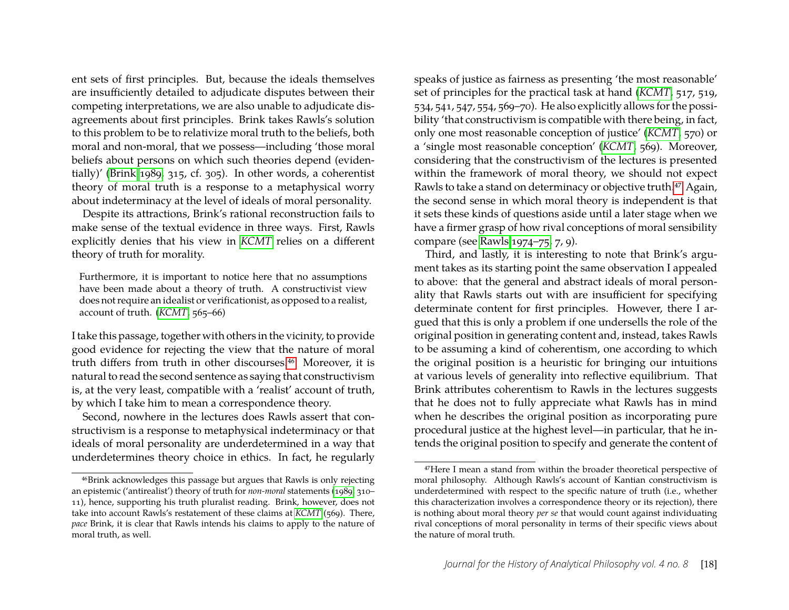ent sets of first principles. But, because the ideals themselves are insufficiently detailed to adjudicate disputes between their competing interpretations, we are also unable to adjudicate disagreements about first principles. Brink takes Rawls's solution to this problem to be to relativize moral truth to the beliefs, both moral and non-moral, that we possess—including 'those moral beliefs about persons on which such theories depend (evidentially)' [\(Brink 1989,](#page-23-4) 315, cf. 305). In other words, a coherentist theory of moral truth is a response to a metaphysical worry about indeterminacy at the level of ideals of moral personality.

Despite its attractions, Brink's rational reconstruction fails to make sense of the textual evidence in three ways. First, Rawls explicitly denies that his view in *[KCMT](#page-25-2)* relies on a different theory of truth for morality.

Furthermore, it is important to notice here that no assumptions have been made about a theory of truth. A constructivist view does not require an idealist or verificationist, as opposed to a realist, account of truth. (*[KCMT](#page-25-2)*, 565–66)

I take this passage, together with others in the vicinity, to provide good evidence for rejecting the view that the nature of moral truth differs from truth in other discourses[.46](#page-18-0) Moreover, it is natural to read the second sentence as saying that constructivism is, at the very least, compatible with a 'realist' account of truth, by which I take him to mean a correspondence theory.

Second, nowhere in the lectures does Rawls assert that constructivism is a response to metaphysical indeterminacy or that ideals of moral personality are underdetermined in a way that underdetermines theory choice in ethics. In fact, he regularly

speaks of justice as fairness as presenting 'the most reasonable' set of principles for the practical task at hand (*[KCMT](#page-25-2)*, 517, 519, 534, 541, 547, 554, 569–70). He also explicitly allows for the possibility 'that constructivism is compatible with there being, in fact, only one most reasonable conception of justice' (*[KCMT](#page-25-2)*, 570) or a 'single most reasonable conception' (*[KCMT](#page-25-2)*, 569). Moreover, considering that the constructivism of the lectures is presented within the framework of moral theory, we should not expect Rawls to take a stand on determinacy or objective truth.<sup>47</sup> Again, the second sense in which moral theory is independent is that it sets these kinds of questions aside until a later stage when we have a firmer grasp of how rival conceptions of moral sensibility compare (see [Rawls 1974–75,](#page-25-20) 7, 9).

Third, and lastly, it is interesting to note that Brink's argument takes as its starting point the same observation I appealed to above: that the general and abstract ideals of moral personality that Rawls starts out with are insufficient for specifying determinate content for first principles. However, there I argued that this is only a problem if one undersells the role of the original position in generating content and, instead, takes Rawls to be assuming a kind of coherentism, one according to which the original position is a heuristic for bringing our intuitions at various levels of generality into reflective equilibrium. That Brink attributes coherentism to Rawls in the lectures suggests that he does not to fully appreciate what Rawls has in mind when he describes the original position as incorporating pure procedural justice at the highest level—in particular, that he intends the original position to specify and generate the content of

<span id="page-18-0"></span><sup>46</sup>Brink acknowledges this passage but argues that Rawls is only rejecting an epistemic ('antirealist') theory of truth for *non-moral* statements [\(1989,](#page-23-4) 310– 11), hence, supporting his truth pluralist reading. Brink, however, does not take into account Rawls's restatement of these claims at *[KCMT](#page-25-2)* (569). There, *pace* Brink, it is clear that Rawls intends his claims to apply to the nature of moral truth, as well.

<span id="page-18-1"></span><sup>47</sup>Here I mean a stand from within the broader theoretical perspective of moral philosophy. Although Rawls's account of Kantian constructivism is underdetermined with respect to the specific nature of truth (i.e., whether this characterization involves a correspondence theory or its rejection), there is nothing about moral theory *per se* that would count against individuating rival conceptions of moral personality in terms of their specific views about the nature of moral truth.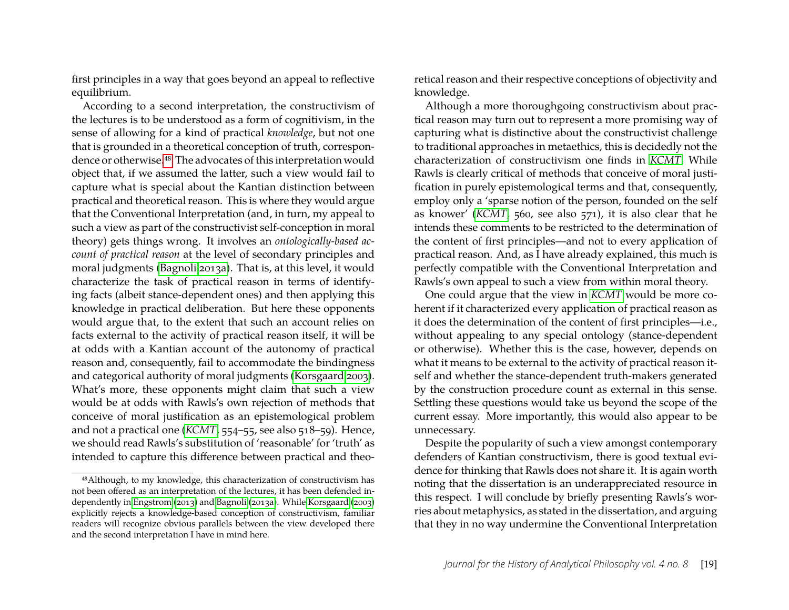first principles in a way that goes beyond an appeal to reflective equilibrium.

According to a second interpretation, the constructivism of the lectures is to be understood as a form of cognitivism, in the sense of allowing for a kind of practical *knowledge*, but not one that is grounded in a theoretical conception of truth, correspondence or otherwise[.48](#page-19-0) The advocates of this interpretation would object that, if we assumed the latter, such a view would fail to capture what is special about the Kantian distinction between practical and theoretical reason. This is where they would argue that the Conventional Interpretation (and, in turn, my appeal to such a view as part of the constructivist self-conception in moral theory) gets things wrong. It involves an *ontologically-based account of practical reason* at the level of secondary principles and moral judgments [\(Bagnoli 2013a\)](#page-23-2). That is, at this level, it would characterize the task of practical reason in terms of identifying facts (albeit stance-dependent ones) and then applying this knowledge in practical deliberation. But here these opponents would argue that, to the extent that such an account relies on facts external to the activity of practical reason itself, it will be at odds with a Kantian account of the autonomy of practical reason and, consequently, fail to accommodate the bindingness and categorical authority of moral judgments [\(Korsgaard 2003\)](#page-24-4). What's more, these opponents might claim that such a view would be at odds with Rawls's own rejection of methods that conceive of moral justification as an epistemological problem and not a practical one (*[KCMT](#page-25-2)*, 554–55, see also 518–59). Hence, we should read Rawls's substitution of 'reasonable' for 'truth' as intended to capture this difference between practical and theoretical reason and their respective conceptions of objectivity and knowledge.

Although a more thoroughgoing constructivism about practical reason may turn out to represent a more promising way of capturing what is distinctive about the constructivist challenge to traditional approaches in metaethics, this is decidedly not the characterization of constructivism one finds in *[KCMT](#page-25-2)*. While Rawls is clearly critical of methods that conceive of moral justification in purely epistemological terms and that, consequently, employ only a 'sparse notion of the person, founded on the self as knower' (*[KCMT](#page-25-2)*, 560, see also 571), it is also clear that he intends these comments to be restricted to the determination of the content of first principles—and not to every application of practical reason. And, as I have already explained, this much is perfectly compatible with the Conventional Interpretation and Rawls's own appeal to such a view from within moral theory.

One could argue that the view in *[KCMT](#page-25-2)* would be more coherent if it characterized every application of practical reason as it does the determination of the content of first principles—i.e., without appealing to any special ontology (stance-dependent or otherwise). Whether this is the case, however, depends on what it means to be external to the activity of practical reason itself and whether the stance-dependent truth-makers generated by the construction procedure count as external in this sense. Settling these questions would take us beyond the scope of the current essay. More importantly, this would also appear to be unnecessary.

Despite the popularity of such a view amongst contemporary defenders of Kantian constructivism, there is good textual evidence for thinking that Rawls does not share it. It is again worth noting that the dissertation is an underappreciated resource in this respect. I will conclude by briefly presenting Rawls's worries about metaphysics, as stated in the dissertation, and arguing that they in no way undermine the Conventional Interpretation

<span id="page-19-0"></span><sup>48</sup>Although, to my knowledge, this characterization of constructivism has not been offered as an interpretation of the lectures, it has been defended independently in [Engstrom](#page-23-9) [\(2013\)](#page-23-9) and [Bagnoli](#page-23-2) [\(2013a\)](#page-23-2). While [Korsgaard](#page-24-4) [\(2003\)](#page-24-4) explicitly rejects a knowledge-based conception of constructivism, familiar readers will recognize obvious parallels between the view developed there and the second interpretation I have in mind here.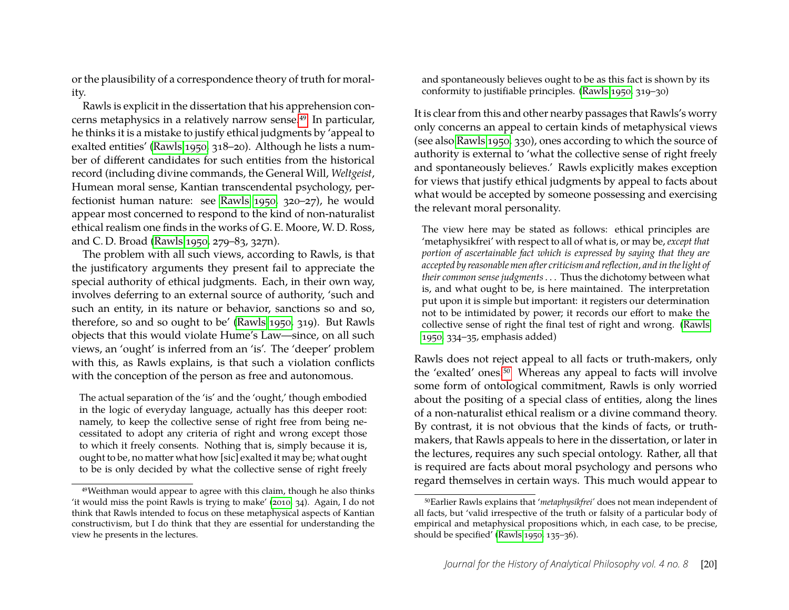or the plausibility of a correspondence theory of truth for morality.

Rawls is explicit in the dissertation that his apprehension concerns metaphysics in a relatively narrow sense[.49](#page-20-0) In particular, he thinks it is a mistake to justify ethical judgments by 'appeal to exalted entities' [\(Rawls 1950,](#page-25-21) 318–20). Although he lists a number of different candidates for such entities from the historical record (including divine commands, the General Will, *Weltgeist*, Humean moral sense, Kantian transcendental psychology, perfectionist human nature: see [Rawls 1950,](#page-25-21) 320–27), he would appear most concerned to respond to the kind of non-naturalist ethical realism one finds in the works of G. E. Moore, W. D. Ross, and C. D. Broad [\(Rawls 1950,](#page-25-21) 279–83, 327n).

The problem with all such views, according to Rawls, is that the justificatory arguments they present fail to appreciate the special authority of ethical judgments. Each, in their own way, involves deferring to an external source of authority, 'such and such an entity, in its nature or behavior, sanctions so and so, therefore, so and so ought to be' [\(Rawls 1950,](#page-25-21) 319). But Rawls objects that this would violate Hume's Law—since, on all such views, an 'ought' is inferred from an 'is'. The 'deeper' problem with this, as Rawls explains, is that such a violation conflicts with the conception of the person as free and autonomous.

The actual separation of the 'is' and the 'ought,' though embodied in the logic of everyday language, actually has this deeper root: namely, to keep the collective sense of right free from being necessitated to adopt any criteria of right and wrong except those to which it freely consents. Nothing that is, simply because it is, ought to be, no matter what how [sic] exalted it may be; what ought to be is only decided by what the collective sense of right freely and spontaneously believes ought to be as this fact is shown by its conformity to justifiable principles. [\(Rawls 1950,](#page-25-21) 319–30)

It is clear from this and other nearby passages that Rawls's worry only concerns an appeal to certain kinds of metaphysical views (see also [Rawls 1950,](#page-25-21) 330), ones according to which the source of authority is external to 'what the collective sense of right freely and spontaneously believes.' Rawls explicitly makes exception for views that justify ethical judgments by appeal to facts about what would be accepted by someone possessing and exercising the relevant moral personality.

The view here may be stated as follows: ethical principles are 'metaphysikfrei' with respect to all of what is, or may be, *except that portion of ascertainable fact which is expressed by saying that they are accepted by reasonable men after criticism and reflection, and in the light of their common sense judgments*. . . Thus the dichotomy between what is, and what ought to be, is here maintained. The interpretation put upon it is simple but important: it registers our determination not to be intimidated by power; it records our effort to make the collective sense of right the final test of right and wrong. [\(Rawls](#page-25-21) [1950,](#page-25-21) 334–35, emphasis added)

Rawls does not reject appeal to all facts or truth-makers, only the 'exalted' ones.<sup>50</sup> Whereas any appeal to facts will involve some form of ontological commitment, Rawls is only worried about the positing of a special class of entities, along the lines of a non-naturalist ethical realism or a divine command theory. By contrast, it is not obvious that the kinds of facts, or truthmakers, that Rawls appeals to here in the dissertation, or later in the lectures, requires any such special ontology. Rather, all that is required are facts about moral psychology and persons who regard themselves in certain ways. This much would appear to

<span id="page-20-0"></span><sup>49</sup>Weithman would appear to agree with this claim, though he also thinks 'it would miss the point Rawls is trying to make' [\(2010,](#page-25-12) 34). Again, I do not think that Rawls intended to focus on these metaphysical aspects of Kantian constructivism, but I do think that they are essential for understanding the view he presents in the lectures.

<span id="page-20-1"></span><sup>50</sup>Earlier Rawls explains that '*metaphysikfrei'* does not mean independent of all facts, but 'valid irrespective of the truth or falsity of a particular body of empirical and metaphysical propositions which, in each case, to be precise, should be specified' [\(Rawls 1950,](#page-25-21) 135–36).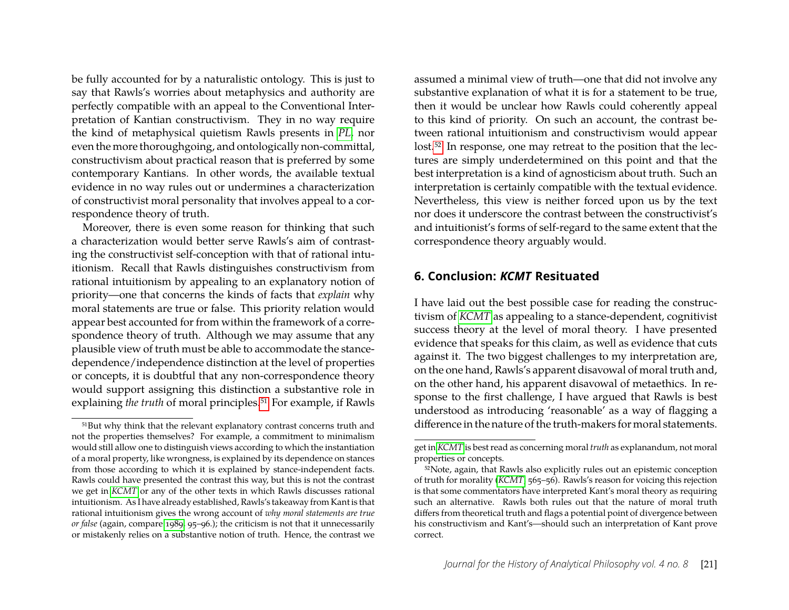be fully accounted for by a naturalistic ontology. This is just to say that Rawls's worries about metaphysics and authority are perfectly compatible with an appeal to the Conventional Interpretation of Kantian constructivism. They in no way require the kind of metaphysical quietism Rawls presents in *[PL](#page-25-17)*, nor even the more thoroughgoing, and ontologically non-committal, constructivism about practical reason that is preferred by some contemporary Kantians. In other words, the available textual evidence in no way rules out or undermines a characterization of constructivist moral personality that involves appeal to a correspondence theory of truth.

Moreover, there is even some reason for thinking that such a characterization would better serve Rawls's aim of contrasting the constructivist self-conception with that of rational intuitionism. Recall that Rawls distinguishes constructivism from rational intuitionism by appealing to an explanatory notion of priority—one that concerns the kinds of facts that *explain* why moral statements are true or false. This priority relation would appear best accounted for from within the framework of a correspondence theory of truth. Although we may assume that any plausible view of truth must be able to accommodate the stancedependence/independence distinction at the level of properties or concepts, it is doubtful that any non-correspondence theory would support assigning this distinction a substantive role in explaining *the truth* of moral principles.<sup>51</sup> For example, if Rawls assumed a minimal view of truth—one that did not involve any substantive explanation of what it is for a statement to be true, then it would be unclear how Rawls could coherently appeal to this kind of priority. On such an account, the contrast between rational intuitionism and constructivism would appear lost.<sup>52</sup> In response, one may retreat to the position that the lectures are simply underdetermined on this point and that the best interpretation is a kind of agnosticism about truth. Such an interpretation is certainly compatible with the textual evidence. Nevertheless, this view is neither forced upon us by the text nor does it underscore the contrast between the constructivist's and intuitionist's forms of self-regard to the same extent that the correspondence theory arguably would.

#### <span id="page-21-0"></span>**6. Conclusion:** *KCMT* **Resituated**

I have laid out the best possible case for reading the constructivism of *[KCMT](#page-25-2)* as appealing to a stance-dependent, cognitivist success theory at the level of moral theory. I have presented evidence that speaks for this claim, as well as evidence that cuts against it. The two biggest challenges to my interpretation are, on the one hand, Rawls's apparent disavowal of moral truth and, on the other hand, his apparent disavowal of metaethics. In response to the first challenge, I have argued that Rawls is best understood as introducing 'reasonable' as a way of flagging a difference in the nature of the truth-makers for moral statements.

<span id="page-21-1"></span><sup>51</sup>But why think that the relevant explanatory contrast concerns truth and not the properties themselves? For example, a commitment to minimalism would still allow one to distinguish views according to which the instantiation of a moral property, like wrongness, is explained by its dependence on stances from those according to which it is explained by stance-independent facts. Rawls could have presented the contrast this way, but this is not the contrast we get in *[KCMT](#page-25-2)* or any of the other texts in which Rawls discusses rational intuitionism. As I have already established, Rawls's takeaway from Kant is that rational intuitionism gives the wrong account of *why moral statements are true or false* (again, compare [1989,](#page-25-16) 95–96.); the criticism is not that it unnecessarily or mistakenly relies on a substantive notion of truth. Hence, the contrast we

get in *[KCMT](#page-25-2)* is best read as concerning moral *truth* as explanandum, not moral properties or concepts.

<span id="page-21-2"></span><sup>52</sup>Note, again, that Rawls also explicitly rules out an epistemic conception of truth for morality (*[KCMT](#page-25-2)*, 565–56). Rawls's reason for voicing this rejection is that some commentators have interpreted Kant's moral theory as requiring such an alternative. Rawls both rules out that the nature of moral truth differs from theoretical truth and flags a potential point of divergence between his constructivism and Kant's—should such an interpretation of Kant prove correct.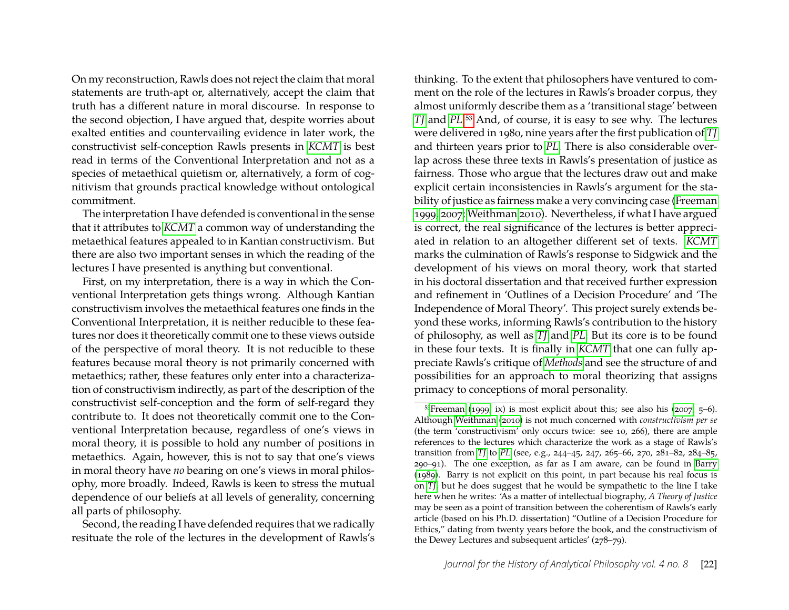On my reconstruction, Rawls does not reject the claim that moral statements are truth-apt or, alternatively, accept the claim that truth has a different nature in moral discourse. In response to the second objection, I have argued that, despite worries about exalted entities and countervailing evidence in later work, the constructivist self-conception Rawls presents in *[KCMT](#page-25-2)* is best read in terms of the Conventional Interpretation and not as a species of metaethical quietism or, alternatively, a form of cognitivism that grounds practical knowledge without ontological commitment.

The interpretation I have defended is conventional in the sense that it attributes to *[KCMT](#page-25-2)* a common way of understanding the metaethical features appealed to in Kantian constructivism. But there are also two important senses in which the reading of the lectures I have presented is anything but conventional.

First, on my interpretation, there is a way in which the Conventional Interpretation gets things wrong. Although Kantian constructivism involves the metaethical features one finds in the Conventional Interpretation, it is neither reducible to these features nor does it theoretically commit one to these views outside of the perspective of moral theory. It is not reducible to these features because moral theory is not primarily concerned with metaethics; rather, these features only enter into a characterization of constructivism indirectly, as part of the description of the constructivist self-conception and the form of self-regard they contribute to. It does not theoretically commit one to the Conventional Interpretation because, regardless of one's views in moral theory, it is possible to hold any number of positions in metaethics. Again, however, this is not to say that one's views in moral theory have *no* bearing on one's views in moral philosophy, more broadly. Indeed, Rawls is keen to stress the mutual dependence of our beliefs at all levels of generality, concerning all parts of philosophy.

Second, the reading I have defended requires that we radically resituate the role of the lectures in the development of Rawls's

thinking. To the extent that philosophers have ventured to comment on the role of the lectures in Rawls's broader corpus, they almost uniformly describe them as a 'transitional stage' between *[TJ](#page-25-19)* and *[PL](#page-25-17)*[.53](#page-22-0) And, of course, it is easy to see why. The lectures were delivered in 1980, nine years after the first publication of *[TJ](#page-25-19)* and thirteen years prior to *[PL](#page-25-17)*. There is also considerable overlap across these three texts in Rawls's presentation of justice as fairness. Those who argue that the lectures draw out and make explicit certain inconsistencies in Rawls's argument for the stability of justice as fairness make a very convincing case [\(Freeman](#page-24-15) [1999,](#page-24-15) [2007;](#page-24-16) [Weithman 2010\)](#page-25-12). Nevertheless, if what I have argued is correct, the real significance of the lectures is better appreciated in relation to an altogether different set of texts. *[KCMT](#page-25-2)* marks the culmination of Rawls's response to Sidgwick and the development of his views on moral theory, work that started in his doctoral dissertation and that received further expression and refinement in 'Outlines of a Decision Procedure' and 'The Independence of Moral Theory'. This project surely extends beyond these works, informing Rawls's contribution to the history of philosophy, as well as *[TJ](#page-25-19)* and *[PL](#page-25-17)*. But its core is to be found in these four texts. It is finally in *[KCMT](#page-25-2)* that one can fully appreciate Rawls's critique of *[Methods](#page-25-13)* and see the structure of and possibilities for an approach to moral theorizing that assigns primacy to conceptions of moral personality.

<span id="page-22-0"></span> $53$ Freeman [\(1999,](#page-24-15) ix) is most explicit about this; see also his [\(2007,](#page-24-16) 5–6). Although [Weithman](#page-25-12) [\(2010\)](#page-25-12) is not much concerned with *constructivism per se* (the term 'constructivism' only occurs twice: see 10, 266), there are ample references to the lectures which characterize the work as a stage of Rawls's transition from *[TJ](#page-25-19)* to *[PL](#page-25-17)* (see, e.g., 244–45, 247, 265–66, 270, 281–82, 284–85, 290–91). The one exception, as far as I am aware, can be found in [Barry](#page-23-6) [\(1989\)](#page-23-6). Barry is not explicit on this point, in part because his real focus is on *[TJ](#page-25-19)*, but he does suggest that he would be sympathetic to the line I take here when he writes: 'As a matter of intellectual biography, *A Theory of Justice* may be seen as a point of transition between the coherentism of Rawls's early article (based on his Ph.D. dissertation) "Outline of a Decision Procedure for Ethics," dating from twenty years before the book, and the constructivism of the Dewey Lectures and subsequent articles' (278–79).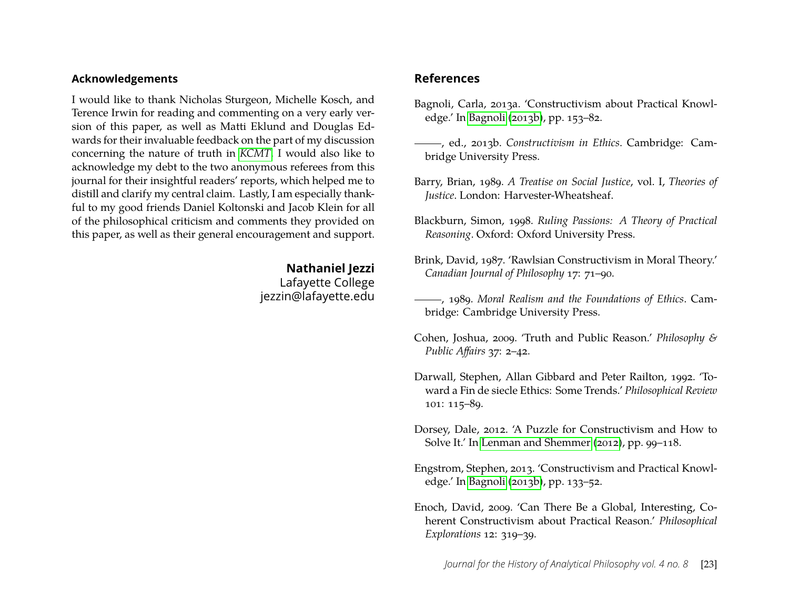#### **Acknowledgements**

I would like to thank Nicholas Sturgeon, Michelle Kosch, and Terence Irwin for reading and commenting on a very early version of this paper, as well as Matti Eklund and Douglas Edwards for their invaluable feedback on the part of my discussion concerning the nature of truth in *[KCMT](#page-25-2)*. I would also like to acknowledge my debt to the two anonymous referees from this journal for their insightful readers' reports, which helped me to distill and clarify my central claim. Lastly, I am especially thankful to my good friends Daniel Koltonski and Jacob Klein for all of the philosophical criticism and comments they provided on this paper, as well as their general encouragement and support.

> **Nathaniel Jezzi** Lafayette College jezzin@lafayette.edu

#### **References**

- <span id="page-23-2"></span>Bagnoli, Carla, 2013a. 'Constructivism about Practical Knowledge.' In [Bagnoli](#page-23-10) [\(2013b\)](#page-23-10), pp. 153–82.
- <span id="page-23-10"></span>, ed., 2013b. *Constructivism in Ethics*. Cambridge: Cambridge University Press.
- <span id="page-23-6"></span>Barry, Brian, 1989. *A Treatise on Social Justice*, vol. I, *Theories of Justice*. London: Harvester-Wheatsheaf.
- <span id="page-23-7"></span>Blackburn, Simon, 1998. *Ruling Passions: A Theory of Practical Reasoning*. Oxford: Oxford University Press.
- <span id="page-23-3"></span>Brink, David, 1987. 'Rawlsian Constructivism in Moral Theory.' *Canadian Journal of Philosophy* 17: 71–90.
- <span id="page-23-4"></span>, 1989. *Moral Realism and the Foundations of Ethics*. Cambridge: Cambridge University Press.
- <span id="page-23-8"></span>Cohen, Joshua, 2009. 'Truth and Public Reason.' *Philosophy & Public Affairs* 37: 2–42.
- <span id="page-23-0"></span>Darwall, Stephen, Allan Gibbard and Peter Railton, 1992. 'Toward a Fin de siecle Ethics: Some Trends.' *Philosophical Review* 101: 115–89.
- <span id="page-23-1"></span>Dorsey, Dale, 2012. 'A Puzzle for Constructivism and How to Solve It.' In [Lenman and Shemmer](#page-24-23) [\(2012\)](#page-24-23), pp. 99–118.
- <span id="page-23-9"></span>Engstrom, Stephen, 2013. 'Constructivism and Practical Knowledge.' In [Bagnoli](#page-23-10) [\(2013b\)](#page-23-10), pp. 133–52.
- <span id="page-23-5"></span>Enoch, David, 2009. 'Can There Be a Global, Interesting, Coherent Constructivism about Practical Reason.' *Philosophical Explorations* 12: 319–39.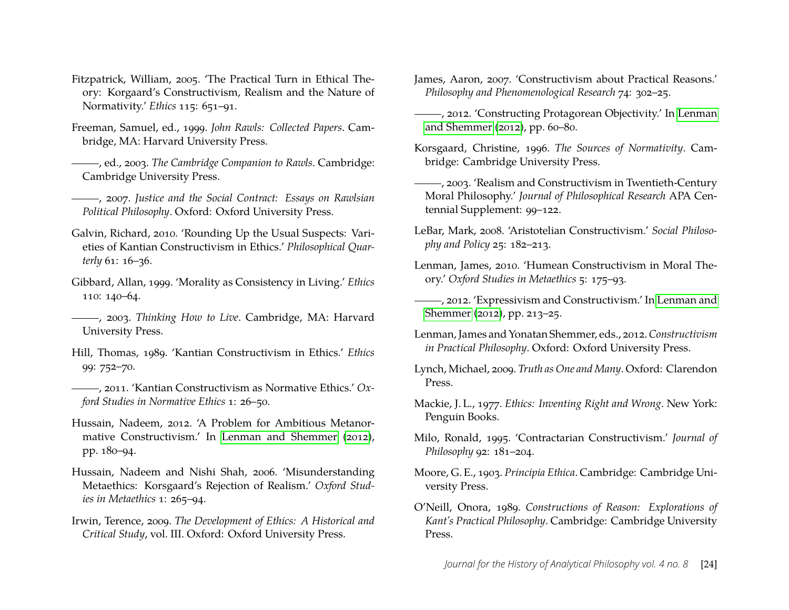- <span id="page-24-12"></span>Fitzpatrick, William, 2005. 'The Practical Turn in Ethical Theory: Korgaard's Constructivism, Realism and the Nature of Normativity.' *Ethics* 115: 651–91.
- <span id="page-24-15"></span>Freeman, Samuel, ed., 1999. *John Rawls: Collected Papers*. Cambridge, MA: Harvard University Press.
- <span id="page-24-24"></span>, ed., 2003. *The Cambridge Companion to Rawls*. Cambridge: Cambridge University Press.

<span id="page-24-16"></span>, 2007. *Justice and the Social Contract: Essays on Rawlsian Political Philosophy*. Oxford: Oxford University Press.

- <span id="page-24-18"></span>Galvin, Richard, 2010. 'Rounding Up the Usual Suspects: Varieties of Kantian Constructivism in Ethics.' *Philosophical Quarterly* 61: 16–36.
- <span id="page-24-11"></span>Gibbard, Allan, 1999. 'Morality as Consistency in Living.' *Ethics* 110: 140–64.
- <span id="page-24-17"></span>, 2003. *Thinking How to Live*. Cambridge, MA: Harvard University Press.
- <span id="page-24-0"></span>Hill, Thomas, 1989. 'Kantian Constructivism in Ethics.' *Ethics* 99: 752–70.
- <span id="page-24-10"></span>, 2011. 'Kantian Constructivism as Normative Ethics.' *Oxford Studies in Normative Ethics* 1: 26–50.
- <span id="page-24-14"></span>Hussain, Nadeem, 2012. 'A Problem for Ambitious Metanormative Constructivism.' In [Lenman and Shemmer](#page-24-23) [\(2012\)](#page-24-23), pp. 180–94.
- <span id="page-24-13"></span>Hussain, Nadeem and Nishi Shah, 2006. 'Misunderstanding Metaethics: Korsgaard's Rejection of Realism.' *Oxford Studies in Metaethics* 1: 265–94.
- <span id="page-24-19"></span>Irwin, Terence, 2009. *The Development of Ethics: A Historical and Critical Study*, vol. III. Oxford: Oxford University Press.
- <span id="page-24-5"></span>James, Aaron, 2007. 'Constructivism about Practical Reasons.' *Philosophy and Phenomenological Research* 74: 302–25.
- <span id="page-24-6"></span>, 2012. 'Constructing Protagorean Objectivity.' In [Lenman](#page-24-23) [and Shemmer](#page-24-23) [\(2012\)](#page-24-23), pp. 60–80.
- <span id="page-24-3"></span>Korsgaard, Christine, 1996. *The Sources of Normativity*. Cambridge: Cambridge University Press.
- <span id="page-24-4"></span>, 2003. 'Realism and Constructivism in Twentieth-Century Moral Philosophy.' *Journal of Philosophical Research* APA Centennial Supplement: 99–122.
- <span id="page-24-7"></span>LeBar, Mark, 2008. 'Aristotelian Constructivism.' *Social Philosophy and Policy* 25: 182–213.
- <span id="page-24-8"></span>Lenman, James, 2010. 'Humean Constructivism in Moral Theory.' *Oxford Studies in Metaethics* 5: 175–93.
- <span id="page-24-9"></span>, 2012. 'Expressivism and Constructivism.' In [Lenman and](#page-24-23) [Shemmer](#page-24-23) [\(2012\)](#page-24-23), pp. 213–25.
- <span id="page-24-23"></span>Lenman, James and Yonatan Shemmer, eds., 2012.*Constructivism in Practical Philosophy*. Oxford: Oxford University Press.
- <span id="page-24-22"></span>Lynch, Michael, 2009. *Truth as One and Many*. Oxford: Clarendon Press.
- <span id="page-24-21"></span>Mackie, J. L., 1977. *Ethics: Inventing Right and Wrong*. New York: Penguin Books.
- <span id="page-24-2"></span>Milo, Ronald, 1995. 'Contractarian Constructivism.' *Journal of Philosophy* 92: 181–204.
- <span id="page-24-20"></span>Moore, G. E., 1903. *Principia Ethica*. Cambridge: Cambridge University Press.
- <span id="page-24-1"></span>O'Neill, Onora, 1989. *Constructions of Reason: Explorations of Kant's Practical Philosophy*. Cambridge: Cambridge University Press.